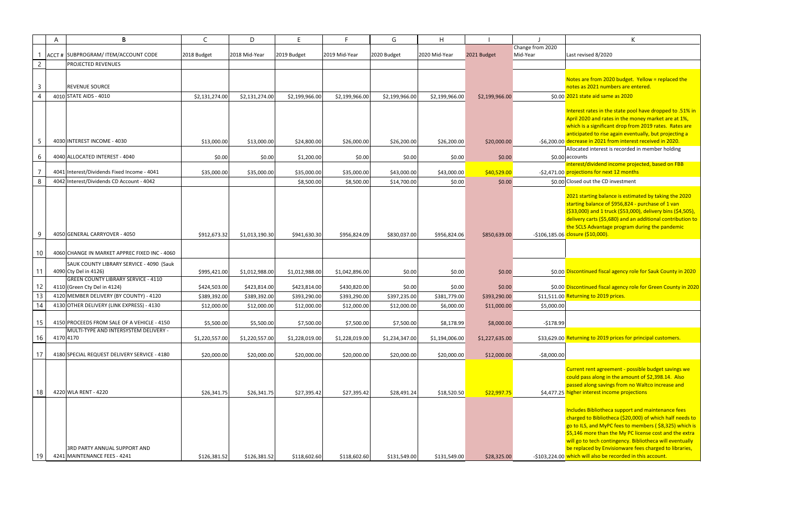Interest rates in the state pool have dropped to .51% in April 2020 and rates in the money market are at 1%, ich is a significant drop from 2019 rates. Rates are anticipated to rise again eventually, but projecting a rease in 2021 from interest received in 2020. Allocated interest is recorded in member holding ounts

 interest/dividend income projected, based on FBB jections for next 12 months

1 starting balance is estimated by taking the 2020 starting balance of \$956,824 - purchase of 1 van (\$33,000) and 1 truck (\$53,000), delivery bins (\$4,505), ivery carts (\$5,680) and an additional contribution to the SCLS Advantage program during the pandemic <mark>sure (\$10,000).</mark>

continued fiscal agency role for Sauk County in 2020

continued fiscal agency role for Green County in 2020 urning to 2019 prices.

urning to 2019 prices for principal customers.

rent rent agreement - possible budget savings we could pass along in the amount of \$2,398.14. Also passed along savings from no Waltco increase and her interest income projections

udes Bibliotheca support and maintenance fees rged to Bibliotheca (\$20,000) of which half needs to go to ILS, and MyPC fees to members ( \$8,325) which is \$5,146 more than the My PC license cost and the extra will go to tech contingency. Bibliotheca will eventually replaced by Envisionware fees charged to libraries, ch will also be recorded in this account.

|                | A | B                                             | $\mathsf{C}$   | D              | E              | F.             | G              | $\mathsf{H}$   |                |                  | K                                                                  |
|----------------|---|-----------------------------------------------|----------------|----------------|----------------|----------------|----------------|----------------|----------------|------------------|--------------------------------------------------------------------|
|                |   |                                               |                |                |                |                |                |                |                | Change from 2020 |                                                                    |
|                |   | ACCT # SUBPROGRAM/ ITEM/ACCOUNT CODE          | 2018 Budget    | 2018 Mid-Year  | 2019 Budget    | 2019 Mid-Year  | 2020 Budget    | 2020 Mid-Year  | 2021 Budget    | Mid-Year         | Last revised 8/2020                                                |
| $\overline{2}$ |   | <b>PROJECTED REVENUES</b>                     |                |                |                |                |                |                |                |                  |                                                                    |
|                |   |                                               |                |                |                |                |                |                |                |                  | Notes are from 2020 budget.                                        |
| $\overline{3}$ |   | <b>REVENUE SOURCE</b>                         |                |                |                |                |                |                |                |                  | notes as 2021 numbers are en                                       |
| $\overline{4}$ |   | 4010 STATE AIDS - 4010                        | \$2,131,274.00 | \$2,131,274.00 | \$2,199,966.00 | \$2,199,966.00 | \$2,199,966.00 | \$2,199,966.00 | \$2,199,966.00 |                  | \$0.00 2021 state aid same as 2020                                 |
|                |   |                                               |                |                |                |                |                |                |                |                  |                                                                    |
|                |   |                                               |                |                |                |                |                |                |                |                  | Interest rates in the state pool<br>April 2020 and rates in the mo |
|                |   |                                               |                |                |                |                |                |                |                |                  | which is a significant drop fror                                   |
|                |   |                                               |                |                |                |                |                |                |                |                  | anticipated to rise again event                                    |
| 5              |   | 4030 INTEREST INCOME - 4030                   | \$13,000.00    | \$13,000.00    | \$24,800.00    | \$26,000.00    | \$26,200.00    | \$26,200.00    | \$20,000.00    |                  | -\$6,200.00 decrease in 2021 from interes                          |
|                |   |                                               |                |                |                |                |                |                |                |                  | Allocated interest is recorded                                     |
| 6              |   | 4040 ALLOCATED INTEREST - 4040                | \$0.00         | \$0.00         | \$1,200.00     | \$0.00         | \$0.00         | \$0.00         | \$0.00         |                  | \$0.00 accounts<br>interest/dividend income proj                   |
| $\overline{7}$ |   | 4041 Interest/Dividends Fixed Income - 4041   | \$35,000.00    | \$35,000.00    | \$35,000.00    | \$35,000.00    | \$43,000.00    | \$43,000.00    | \$40,529.00    |                  | -\$2,471.00 projections for next 12 month                          |
| 8              |   | 4042 Interest/Dividends CD Account - 4042     |                |                | \$8,500.00     | \$8,500.00     | \$14,700.00    | \$0.00         | \$0.00         |                  | \$0.00 Closed out the CD investment                                |
|                |   |                                               |                |                |                |                |                |                |                |                  |                                                                    |
|                |   |                                               |                |                |                |                |                |                |                |                  | 2021 starting balance is estima                                    |
|                |   |                                               |                |                |                |                |                |                |                |                  | starting balance of \$956,824 -                                    |
|                |   |                                               |                |                |                |                |                |                |                |                  | (\$33,000) and 1 truck (\$53,00<br>delivery carts (\$5,680) and an |
|                |   |                                               |                |                |                |                |                |                |                |                  | the SCLS Advantage program o                                       |
| 9              |   | 4050 GENERAL CARRYOVER - 4050                 | \$912,673.32   | \$1,013,190.30 | \$941,630.30   | \$956,824.09   | \$830,037.00   | \$956,824.06   | \$850,639.00   |                  | -\$106,185.06 closure (\$10,000).                                  |
|                |   |                                               |                |                |                |                |                |                |                |                  |                                                                    |
| 10             |   | 4060 CHANGE IN MARKET APPREC FIXED INC - 4060 |                |                |                |                |                |                |                |                  |                                                                    |
|                |   | SAUK COUNTY LIBRARY SERVICE - 4090 (Sauk      |                |                |                |                |                |                |                |                  |                                                                    |
| 11             |   | 4090 Cty Del in 4126)                         | \$995,421.00   | \$1,012,988.00 | \$1,012,988.00 | \$1,042,896.00 | \$0.00         | \$0.00         | \$0.00         |                  | \$0.00 Discontinued fiscal agency role                             |
|                |   | <b>GREEN COUNTY LIBRARY SERVICE - 4110</b>    |                |                |                |                |                |                |                |                  |                                                                    |
| 12             |   | 4110 (Green Cty Del in 4124)                  | \$424,503.00   | \$423,814.00   | \$423,814.00   | \$430,820.00   | \$0.00         | \$0.00         | \$0.00         |                  | \$0.00 Discontinued fiscal agency role                             |
| 13             |   | 4120 MEMBER DELIVERY (BY COUNTY) - 4120       | \$389,392.00   | \$389,392.00   | \$393,290.00   | \$393,290.00   | \$397,235.00   | \$381,779.00   | \$393,290.00   |                  | \$11,511.00 Returning to 2019 prices.                              |
| 14             |   | 4130 OTHER DELIVERY (LINK EXPRESS) - 4130     | \$12,000.00    | \$12,000.00    | \$12,000.00    | \$12,000.00    | \$12,000.00    | \$6,000.00     | \$11,000.00    | \$5,000.00       |                                                                    |
| 15             |   | 4150 PROCEEDS FROM SALE OF A VEHICLE - 4150   | \$5,500.00     | \$5,500.00     | \$7,500.00     | \$7,500.00     | \$7,500.00     | \$8,178.99     | \$8,000.00     | $-$178.99$       |                                                                    |
|                |   | MULTI-TYPE AND INTERSYSTEM DELIVERY -         |                |                |                |                |                |                |                |                  |                                                                    |
| 16             |   | 4170 4170                                     | \$1,220,557.00 | \$1,220,557.00 | \$1,228,019.00 | \$1,228,019.00 | \$1,234,347.00 | \$1,194,006.00 | \$1,227,635.00 |                  | \$33,629.00 Returning to 2019 prices for p                         |
|                |   |                                               |                |                |                |                |                |                |                |                  |                                                                    |
| 17             |   | 4180 SPECIAL REQUEST DELIVERY SERVICE - 4180  | \$20,000.00    | \$20,000.00    | \$20,000.00    | \$20,000.00    | \$20,000.00    | \$20,000.00    | \$12,000.00    | $-58,000.00$     |                                                                    |
|                |   |                                               |                |                |                |                |                |                |                |                  | Current rent agreement - poss                                      |
|                |   |                                               |                |                |                |                |                |                |                |                  | could pass along in the amoun                                      |
|                |   |                                               |                |                |                |                |                |                |                |                  | passed along savings from no                                       |
| 18             |   | 4220 WLA RENT - 4220                          | \$26,341.75    | \$26,341.75    | \$27,395.42    | \$27,395.42    | \$28,491.24    | \$18,520.50    | \$22,997.75    |                  | \$4,477.25 higher interest income project                          |
|                |   |                                               |                |                |                |                |                |                |                |                  |                                                                    |
|                |   |                                               |                |                |                |                |                |                |                |                  | Includes Bibliotheca support a                                     |
|                |   |                                               |                |                |                |                |                |                |                |                  | charged to Bibliotheca (\$20,00<br>go to ILS, and MyPC fees to me  |
|                |   |                                               |                |                |                |                |                |                |                |                  | \$5,146 more than the My PC li                                     |
|                |   |                                               |                |                |                |                |                |                |                |                  | will go to tech contingency. Bil                                   |
|                |   | <b>3RD PARTY ANNUAL SUPPORT AND</b>           |                |                |                |                |                |                |                |                  | be replaced by Envisionware f                                      |
| 19             |   | 4241 MAINTENANCE FEES - 4241                  | \$126,381.52   | \$126,381.52   | \$118,602.60   | \$118,602.60   | \$131,549.00   | \$131,549.00   | \$28,325.00    |                  | -\$103,224.00 which will also be recorded in                       |

| ╯<br>r, |
|---------|
|         |

tes are from 2020 budget. Yellow = replaced the es as 2021 numbers are entered.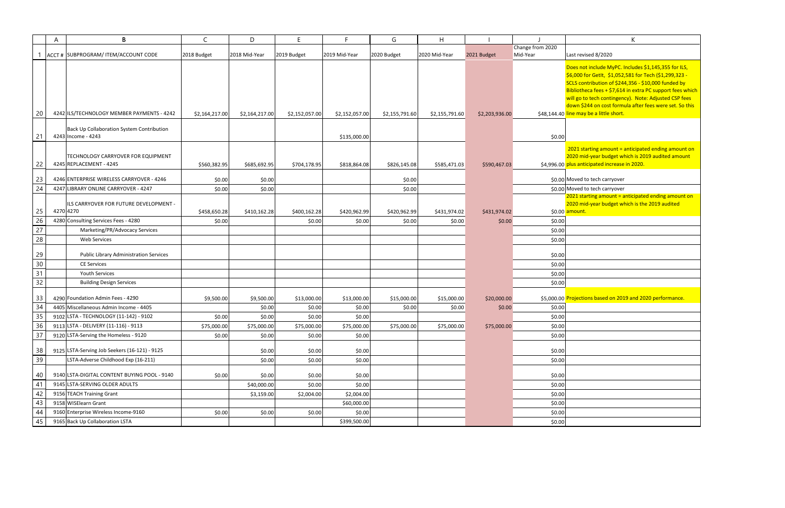| K                                                                                                                                                                                                                                                                                                                                                                                     |
|---------------------------------------------------------------------------------------------------------------------------------------------------------------------------------------------------------------------------------------------------------------------------------------------------------------------------------------------------------------------------------------|
|                                                                                                                                                                                                                                                                                                                                                                                       |
| Last revised 8/2020                                                                                                                                                                                                                                                                                                                                                                   |
| Does not include MyPC. Includes \$1,145,355 for ILS,<br>\$6,000 for GetIt, \$1,052,581 for Tech (\$1,299,323 -<br>SCLS contribution of \$244,356 - \$10,000 funded by<br>Bibliotheca fees + \$7,614 in extra PC support fees which<br>will go to tech contingency). Note: Adjusted CSP fees<br>down \$244 on cost formula after fees were set. So this<br>line may be a little short. |
|                                                                                                                                                                                                                                                                                                                                                                                       |
| 2021 starting amount = anticipated ending amount on<br>2020 mid-year budget which is 2019 audited amount<br>plus anticipated increase in 2020.                                                                                                                                                                                                                                        |
| Moved to tech carryover                                                                                                                                                                                                                                                                                                                                                               |
| Moved to tech carryover                                                                                                                                                                                                                                                                                                                                                               |
| 2021 starting amount = anticipated ending amount on                                                                                                                                                                                                                                                                                                                                   |
| 2020 mid-year budget which is the 2019 audited                                                                                                                                                                                                                                                                                                                                        |
| amount.                                                                                                                                                                                                                                                                                                                                                                               |
|                                                                                                                                                                                                                                                                                                                                                                                       |
|                                                                                                                                                                                                                                                                                                                                                                                       |
|                                                                                                                                                                                                                                                                                                                                                                                       |
|                                                                                                                                                                                                                                                                                                                                                                                       |
|                                                                                                                                                                                                                                                                                                                                                                                       |
|                                                                                                                                                                                                                                                                                                                                                                                       |
|                                                                                                                                                                                                                                                                                                                                                                                       |
|                                                                                                                                                                                                                                                                                                                                                                                       |
| Projections based on 2019 and 2020 performance.                                                                                                                                                                                                                                                                                                                                       |
|                                                                                                                                                                                                                                                                                                                                                                                       |
|                                                                                                                                                                                                                                                                                                                                                                                       |
|                                                                                                                                                                                                                                                                                                                                                                                       |
|                                                                                                                                                                                                                                                                                                                                                                                       |
|                                                                                                                                                                                                                                                                                                                                                                                       |
|                                                                                                                                                                                                                                                                                                                                                                                       |
|                                                                                                                                                                                                                                                                                                                                                                                       |
|                                                                                                                                                                                                                                                                                                                                                                                       |
|                                                                                                                                                                                                                                                                                                                                                                                       |
|                                                                                                                                                                                                                                                                                                                                                                                       |
|                                                                                                                                                                                                                                                                                                                                                                                       |
|                                                                                                                                                                                                                                                                                                                                                                                       |

|        | A | B                                                               | $\mathsf{C}$   | D              | E.             | F.             | G              | H.             |                |                              | K                                                                                                                                                                                                                                                                                                                                    |
|--------|---|-----------------------------------------------------------------|----------------|----------------|----------------|----------------|----------------|----------------|----------------|------------------------------|--------------------------------------------------------------------------------------------------------------------------------------------------------------------------------------------------------------------------------------------------------------------------------------------------------------------------------------|
|        |   | ACCT # SUBPROGRAM/ ITEM/ACCOUNT CODE                            | 2018 Budget    | 2018 Mid-Year  | 2019 Budget    | 2019 Mid-Year  | 2020 Budget    | 2020 Mid-Year  | 2021 Budget    | Change from 2020<br>Mid-Year | Last revised 8/2020                                                                                                                                                                                                                                                                                                                  |
|        |   |                                                                 |                |                |                |                |                |                |                |                              | Does not include MyPC. Includes \$1,145,355 for IL<br>\$6,000 for GetIt, \$1,052,581 for Tech (\$1,299,323<br>SCLS contribution of \$244,356 - \$10,000 funded by<br>Bibliotheca fees + \$7,614 in extra PC support fees<br>will go to tech contingency). Note: Adjusted CSP f<br>down \$244 on cost formula after fees were set. So |
| 20     |   | 4242 ILS/TECHNOLOGY MEMBER PAYMENTS - 4242                      | \$2,164,217.00 | \$2,164,217.00 | \$2,152,057.00 | \$2,152,057.00 | \$2,155,791.60 | \$2,155,791.60 | \$2,203,936.00 |                              | \$48,144.40 line may be a little short.                                                                                                                                                                                                                                                                                              |
| 21     |   | Back Up Collaboration System Contribution<br>4243 Income - 4243 |                |                |                | \$135,000.00   |                |                |                | \$0.00                       |                                                                                                                                                                                                                                                                                                                                      |
| 22     |   | TECHNOLOGY CARRYOVER FOR EQUIPMENT<br>4245 REPLACEMENT - 4245   | \$560,382.95   | \$685,692.95   | \$704,178.95   | \$818,864.08   | \$826,145.08   | \$585,471.03   | \$590,467.03   |                              | 2021 starting amount = anticipated ending amour<br>2020 mid-year budget which is 2019 audited amou<br>\$4,996.00 plus anticipated increase in 2020.                                                                                                                                                                                  |
| 23     |   | 4246 ENTERPRISE WIRELESS CARRYOVER - 4246                       | \$0.00         | \$0.00         |                |                | \$0.00         |                |                |                              | \$0.00 Moved to tech carryover                                                                                                                                                                                                                                                                                                       |
| 24     |   | 4247 LIBRARY ONLINE CARRYOVER - 4247                            | \$0.00         | \$0.00         |                |                | \$0.00         |                |                |                              | \$0.00 Moved to tech carryover<br>2021 starting amount = anticipated ending amoun                                                                                                                                                                                                                                                    |
| 25     |   | ILS CARRYOVER FOR FUTURE DEVELOPMENT -<br>4270 4270             | \$458,650.28   | \$410,162.28   | \$400,162.28   | \$420,962.99   | \$420,962.99   | \$431,974.02   | \$431,974.02   |                              | 2020 mid-year budget which is the 2019 audited<br>\$0.00 amount.                                                                                                                                                                                                                                                                     |
| 26     |   | 4280 Consulting Services Fees - 4280                            | \$0.00         |                | \$0.00         | \$0.00         | \$0.00         | \$0.00         | \$0.00         | \$0.00                       |                                                                                                                                                                                                                                                                                                                                      |
| 27     |   | Marketing/PR/Advocacy Services                                  |                |                |                |                |                |                |                | \$0.00                       |                                                                                                                                                                                                                                                                                                                                      |
| 28     |   | <b>Web Services</b>                                             |                |                |                |                |                |                |                | \$0.00                       |                                                                                                                                                                                                                                                                                                                                      |
| 29     |   | <b>Public Library Administration Services</b>                   |                |                |                |                |                |                |                | \$0.00                       |                                                                                                                                                                                                                                                                                                                                      |
| $30\,$ |   | <b>CE Services</b>                                              |                |                |                |                |                |                |                | \$0.00                       |                                                                                                                                                                                                                                                                                                                                      |
| 31     |   | <b>Youth Services</b>                                           |                |                |                |                |                |                |                | \$0.00                       |                                                                                                                                                                                                                                                                                                                                      |
| 32     |   | <b>Building Design Services</b>                                 |                |                |                |                |                |                |                | \$0.00                       |                                                                                                                                                                                                                                                                                                                                      |
| 33     |   | 4290 Foundation Admin Fees - 4290                               | \$9,500.00     | \$9,500.00     | \$13,000.00    | \$13,000.00    | \$15,000.00    | \$15,000.00    | \$20,000.00    |                              | \$5,000.00 Projections based on 2019 and 2020 performance                                                                                                                                                                                                                                                                            |
| 34     |   | 4405 Miscellaneous Admin Income - 4405                          |                | \$0.00         | \$0.00         | \$0.00         | \$0.00         | \$0.00         | \$0.00         | \$0.00                       |                                                                                                                                                                                                                                                                                                                                      |
| 35     |   | 9102 LSTA - TECHNOLOGY (11-142) - 9102                          | \$0.00         | \$0.00         | \$0.00         | \$0.00         |                |                |                | \$0.00                       |                                                                                                                                                                                                                                                                                                                                      |
| 36     |   | 9113 LSTA - DELIVERY (11-116) - 9113                            | \$75,000.00    | \$75,000.00    | \$75,000.00    | \$75,000.00    | \$75,000.00    | \$75,000.00    | \$75,000.00    | \$0.00                       |                                                                                                                                                                                                                                                                                                                                      |
| 37     |   | 9120 LSTA-Serving the Homeless - 9120                           | \$0.00         | \$0.00         | \$0.00         | \$0.00         |                |                |                | \$0.00                       |                                                                                                                                                                                                                                                                                                                                      |
| 38     |   | 9125 LSTA-Serving Job Seekers (16-121) - 9125                   |                | \$0.00         | \$0.00         | \$0.00         |                |                |                | \$0.00                       |                                                                                                                                                                                                                                                                                                                                      |
| 39     |   | LSTA-Adverse Childhood Exp (16-211)                             |                | \$0.00         | \$0.00         | \$0.00         |                |                |                | \$0.00                       |                                                                                                                                                                                                                                                                                                                                      |
| 40     |   | 9140 LSTA-DIGITAL CONTENT BUYING POOL - 9140                    | \$0.00         | \$0.00         | \$0.00         | \$0.00         |                |                |                | \$0.00                       |                                                                                                                                                                                                                                                                                                                                      |
| 41     |   | 9145 LSTA-SERVING OLDER ADULTS                                  |                | \$40,000.00    | \$0.00         | \$0.00         |                |                |                | \$0.00                       |                                                                                                                                                                                                                                                                                                                                      |
| 42     |   | 9156 TEACH Training Grant                                       |                | \$3,159.00     | \$2,004.00     | \$2,004.00     |                |                |                | \$0.00                       |                                                                                                                                                                                                                                                                                                                                      |
| 43     |   | 9158 WISElearn Grant                                            |                |                |                | \$60,000.00    |                |                |                | \$0.00                       |                                                                                                                                                                                                                                                                                                                                      |
| 44     |   | 9160 Enterprise Wireless Income-9160                            | \$0.00         | \$0.00         | \$0.00         | \$0.00         |                |                |                | \$0.00                       |                                                                                                                                                                                                                                                                                                                                      |
| 45     |   | 9165 Back Up Collaboration LSTA                                 |                |                |                | \$399,500.00   |                |                |                | \$0.00                       |                                                                                                                                                                                                                                                                                                                                      |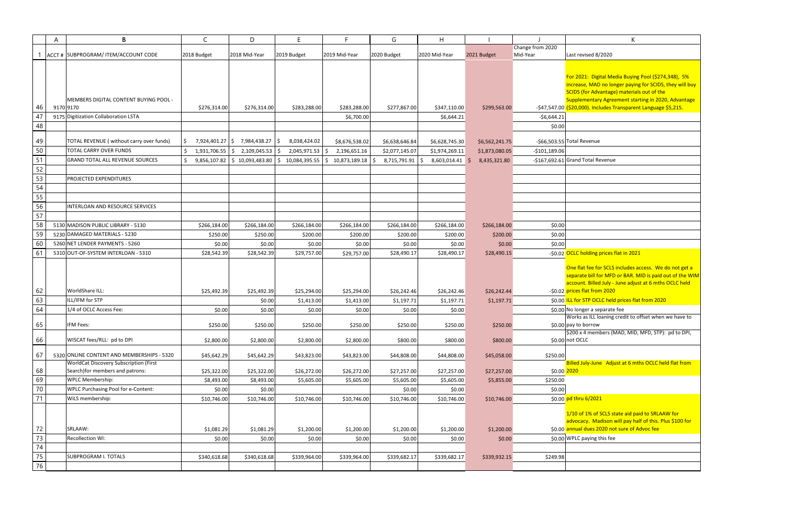|    | A         | B                                            | C            | D                                                 | F.              | F                                                              | G              | H                      |                |                  | K                                                                     |
|----|-----------|----------------------------------------------|--------------|---------------------------------------------------|-----------------|----------------------------------------------------------------|----------------|------------------------|----------------|------------------|-----------------------------------------------------------------------|
|    |           |                                              |              |                                                   |                 |                                                                |                |                        |                | Change from 2020 |                                                                       |
|    |           | ACCT # SUBPROGRAM/ ITEM/ACCOUNT CODE         | 2018 Budget  | 2018 Mid-Year                                     | 2019 Budget     | 2019 Mid-Year                                                  | 2020 Budget    | 2020 Mid-Year          | 2021 Budget    | Mid-Year         | Last revised 8/2020                                                   |
|    |           |                                              |              |                                                   |                 |                                                                |                |                        |                |                  |                                                                       |
|    |           |                                              |              |                                                   |                 |                                                                |                |                        |                |                  |                                                                       |
|    |           |                                              |              |                                                   |                 |                                                                |                |                        |                |                  | For 2021: Digital Media Buying Pool (\$274,348), 5%                   |
|    |           |                                              |              |                                                   |                 |                                                                |                |                        |                |                  | increase, MAD no longer paying for SCIDS, they will buy               |
|    |           |                                              |              |                                                   |                 |                                                                |                |                        |                |                  | SCIDS (for Advantage) materials out of the                            |
|    |           | <b>MEMBERS DIGITAL CONTENT BUYING POOL -</b> |              |                                                   |                 |                                                                |                |                        |                |                  | Supplementary Agreement starting in 2020, Advantage                   |
| 46 | 9170 9170 |                                              | \$276,314.00 | \$276,314.00                                      | \$283,288.00    | \$283,288.00                                                   | \$277,867.00   | \$347,110.00           | \$299,563.00   |                  | -\$47,547.00 (\$20,000). Includes Transparent Language \$5,215.       |
| 47 |           | 9175 Digitization Collaboration LSTA         |              |                                                   |                 | \$6,700.00                                                     |                | \$6,644.21             |                | -\$6,644.21      |                                                                       |
| 48 |           |                                              |              |                                                   |                 |                                                                |                |                        |                | \$0.00           |                                                                       |
|    |           |                                              |              |                                                   |                 |                                                                |                |                        |                |                  |                                                                       |
| 49 |           | TOTAL REVENUE (without carry over funds)     | S.           | 7,924,401.27 \$7,984,438.27 \$                    | 8,038,424.02    | \$8,676,538.02                                                 | \$6,638,646.84 | \$6,628,745.30         | \$6,562,241.75 |                  | $-$ \$66,503.55 Total Revenue                                         |
| 50 |           | <b>TOTAL CARRY OVER FUNDS</b>                |              | $1,931,706.55$ $\mid \xi$ 2,109,045.53 $\mid \xi$ | 2,045,971.53 \$ | 2,196,651.16                                                   | \$2,077,145.07 | \$1,974,269.11         | \$1,873,080.05 | $-$101,189.06$   |                                                                       |
| 51 |           | <b>GRAND TOTAL ALL REVENUE SOURCES</b>       |              |                                                   |                 | $9,856,107.82$ \$10,093,483.80 \$10,084,395.55 \$10,873,189.18 | 8,715,791.91   | ۱Ś.<br>8,603,014.41 \$ | 8,435,321.80   |                  | -\$167,692.61 Grand Total Revenue                                     |
| 52 |           |                                              |              |                                                   |                 |                                                                |                |                        |                |                  |                                                                       |
| 53 |           | <b>PROJECTED EXPENDITURES</b>                |              |                                                   |                 |                                                                |                |                        |                |                  |                                                                       |
| 54 |           |                                              |              |                                                   |                 |                                                                |                |                        |                |                  |                                                                       |
| 55 |           |                                              |              |                                                   |                 |                                                                |                |                        |                |                  |                                                                       |
| 56 |           | INTERLOAN AND RESOURCE SERVICES              |              |                                                   |                 |                                                                |                |                        |                |                  |                                                                       |
|    |           |                                              |              |                                                   |                 |                                                                |                |                        |                |                  |                                                                       |
| 57 |           |                                              |              |                                                   |                 |                                                                |                |                        |                |                  |                                                                       |
| 58 |           | 5130 MADISON PUBLIC LIBRARY - 5130           | \$266,184.00 | \$266,184.00                                      | \$266,184.00    | \$266,184.00                                                   | \$266,184.00   | \$266,184.00           | \$266,184.00   | \$0.00           |                                                                       |
| 59 |           | 5230 DAMAGED MATERIALS - 5230                | \$250.00     | \$250.00                                          | \$200.00        | \$200.00                                                       | \$200.00       | \$200.00               | \$200.00       | \$0.00           |                                                                       |
| 60 |           | 5260 NET LENDER PAYMENTS - 5260              | \$0.00       | \$0.00                                            | \$0.00          | \$0.00                                                         | \$0.00         | \$0.00                 | \$0.00         | \$0.00           |                                                                       |
| 61 |           | 5310 OUT-OF-SYSTEM INTERLOAN - 5310          | \$28,542.39  | \$28,542.39                                       | \$29,757.00     | \$29,757.00                                                    | \$28,490.17    | \$28,490.17            | \$28,490.15    |                  | -\$0.02 OCLC holding prices flat in 2021                              |
|    |           |                                              |              |                                                   |                 |                                                                |                |                        |                |                  |                                                                       |
|    |           |                                              |              |                                                   |                 |                                                                |                |                        |                |                  | One flat fee for SCLS includes access. We do not get a                |
|    |           |                                              |              |                                                   |                 |                                                                |                |                        |                |                  | separate bill for MFD or BAR. MID is paid out of the WIM              |
|    |           |                                              |              |                                                   |                 |                                                                |                |                        |                |                  | account. Billed July - June adjust at 6 mths OCLC held                |
| 62 |           | WorldShare ILL:                              | \$25,492.39  | \$25,492.39                                       | \$25,294.00     | \$25,294.00                                                    | \$26,242.46    | \$26,242.46            | \$26,242.44    |                  | -\$0.02 prices flat from 2020                                         |
| 63 |           | ILL/IFM for STP                              |              | \$0.00                                            | \$1,413.00      | \$1,413.00                                                     | \$1,197.71     | \$1,197.71             | \$1,197.71     |                  | \$0.00 ILL for STP OCLC held prices flat from 2020                    |
| 64 |           | 1/4 of OCLC Access Fee:                      | \$0.00       | \$0.00                                            | \$0.00          | \$0.00                                                         | \$0.00         | \$0.00                 |                |                  | \$0.00 No longer a separate fee                                       |
|    |           |                                              |              |                                                   |                 |                                                                |                |                        |                |                  | Works as ILL loaning credit to offset when we have to                 |
| 65 |           | IFM Fees:                                    | \$250.00     | \$250.00                                          | \$250.00        | \$250.00                                                       | \$250.00       | \$250.00               | \$250.00       |                  | \$0.00 pay to borrow                                                  |
| 66 |           | WISCAT fees/RLL: pd to DPI                   | \$2,800.00   | \$2,800.00                                        | \$2,800.00      | \$2,800.00                                                     | \$800.00       | \$800.00               | \$800.00       |                  | \$200 x 4 members (MAD, MID, MFD, STP): pd to DPI,<br>\$0.00 not OCLC |
|    |           |                                              |              |                                                   |                 |                                                                |                |                        |                |                  |                                                                       |
| 67 |           | 5320 ONLINE CONTENT AND MEMBERSHIPS - 5320   | \$45,642.29  | \$45,642.29                                       | \$43,823.00     | \$43,823.00                                                    | \$44,808.00    | \$44,808.00            | \$45,058.00    | \$250.00         |                                                                       |
|    |           | WorldCat Discovery Subscription (First       |              |                                                   |                 |                                                                |                |                        |                |                  | Billed July-June Adjust at 6 mths OCLC held flat from                 |
| 68 |           | Search)for members and patrons:              | \$25,322.00  | \$25,322.00                                       | \$26,272.00     | \$26,272.00                                                    | \$27,257.00    | \$27,257.00            | \$27,257.00    | \$0.00 2020      |                                                                       |
| 69 |           | <b>WPLC Membership:</b>                      | \$8,493.00   | \$8,493.00                                        | \$5,605.00      | \$5,605.00                                                     | \$5,605.00     | \$5,605.00             | \$5,855.00     | \$250.00         |                                                                       |
| 70 |           | <b>WPLC Purchasing Pool for e-Content:</b>   | \$0.00       | \$0.00                                            |                 |                                                                | \$0.00         | \$0.00                 |                | \$0.00           |                                                                       |
| 71 |           | WiLS membership:                             | \$10,746.00  | \$10,746.00                                       | \$10,746.00     | \$10,746.00                                                    | \$10,746.00    | \$10,746.00            | \$10,746.00    |                  | \$0.00 pd thru 6/2021                                                 |
|    |           |                                              |              |                                                   |                 |                                                                |                |                        |                |                  |                                                                       |
|    |           |                                              |              |                                                   |                 |                                                                |                |                        |                |                  | 1/10 of 1% of SCLS state aid paid to SRLAAW for                       |
|    |           |                                              |              |                                                   |                 |                                                                |                |                        |                |                  | advocacy. Madison will pay half of this. Plus \$100 for               |
| 72 |           | SRLAAW:                                      | \$1,081.29   | \$1,081.29                                        | \$1,200.00      | \$1,200.00                                                     | \$1,200.00     | \$1,200.00             | \$1,200.00     |                  | \$0.00 annual dues 2020 not sure of Advoc fee                         |
| 73 |           | Recollection WI:                             | \$0.00       | \$0.00                                            | \$0.00          | \$0.00                                                         | \$0.00         | \$0.00                 | \$0.00         |                  | \$0.00 WPLC paying this fee                                           |
| 74 |           |                                              |              |                                                   |                 |                                                                |                |                        |                |                  |                                                                       |
| 75 |           | <b>SUBPROGRAM I. TOTALS</b>                  | \$340,618.68 | \$340,618.68                                      | \$339,964.00    | \$339,964.00                                                   | \$339,682.17   | \$339,682.17           | \$339,932.15   | \$249.98         |                                                                       |
| 76 |           |                                              |              |                                                   |                 |                                                                |                |                        |                |                  |                                                                       |
|    |           |                                              |              |                                                   |                 |                                                                |                |                        |                |                  |                                                                       |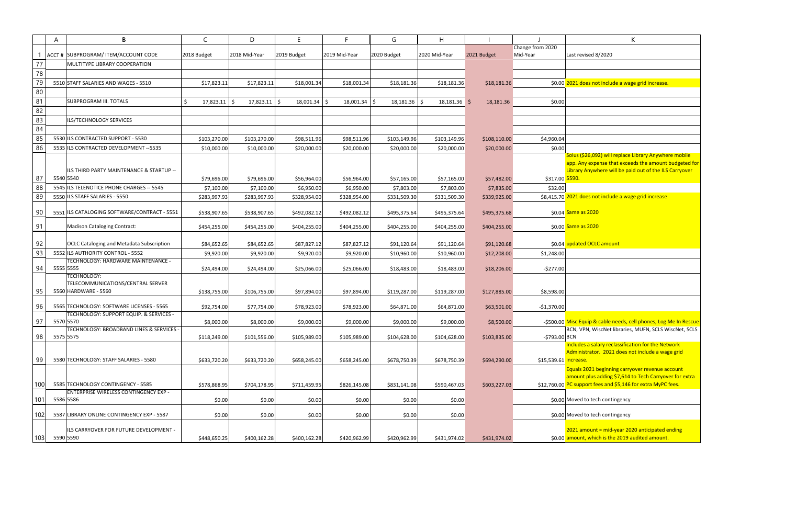|          | A | B                                                                                  | C              | D                           | E              | F              | G              | H              |                             |                                    | К                                                      |
|----------|---|------------------------------------------------------------------------------------|----------------|-----------------------------|----------------|----------------|----------------|----------------|-----------------------------|------------------------------------|--------------------------------------------------------|
|          |   |                                                                                    |                | 2018 Mid-Year               | 2019 Budget    | 2019 Mid-Year  |                | 2020 Mid-Year  |                             | Change from 2020<br>Mid-Year       |                                                        |
| 77       |   | ACCT # SUBPROGRAM/ ITEM/ACCOUNT CODE<br>MULTITYPE LIBRARY COOPERATION              | 2018 Budget    |                             |                |                | 2020 Budget    |                | 2021 Budget                 |                                    | Last revised 8/2020                                    |
| 78       |   |                                                                                    |                |                             |                |                |                |                |                             |                                    |                                                        |
|          |   |                                                                                    |                |                             |                |                |                |                |                             |                                    | \$0.00 2021 does not include a wage grid increase      |
| 79<br>80 |   | 5510 STAFF SALARIES AND WAGES - 5510                                               | \$17,823.11    | \$17,823.11                 | \$18,001.34    | \$18,001.34    | \$18,181.36    | \$18,181.36    | \$18,181.36                 |                                    |                                                        |
| 81       |   | SUBPROGRAM III. TOTALS                                                             | Ŝ.             |                             |                |                |                |                |                             |                                    |                                                        |
| 82       |   |                                                                                    | $17,823.11$ \$ | $17,823.11$ \$              | $18,001.34$ \$ | $18,001.34$ \$ | $18,181.36$ \$ | $18,181.36$ \$ | 18,181.36                   | \$0.00                             |                                                        |
| 83       |   | ILS/TECHNOLOGY SERVICES                                                            |                |                             |                |                |                |                |                             |                                    |                                                        |
| 84       |   |                                                                                    |                |                             |                |                |                |                |                             |                                    |                                                        |
| 85       |   | 5530 ILS CONTRACTED SUPPORT - 5530                                                 | \$103,270.00   |                             | \$98,511.96    | \$98,511.96    | \$103,149.96   | \$103,149.96   |                             | \$4,960.04                         |                                                        |
| 86       |   | 5535 ILS CONTRACTED DEVELOPMENT -- 5535                                            | \$10,000.00    | \$103,270.00<br>\$10,000.00 | \$20,000.00    | \$20,000.00    | \$20,000.00    | \$20,000.00    | \$108,110.00<br>\$20,000.00 | \$0.00                             |                                                        |
|          |   |                                                                                    |                |                             |                |                |                |                |                             |                                    | Solus (\$26,092) will replace Library Anywhe           |
|          |   |                                                                                    |                |                             |                |                |                |                |                             |                                    | app. Any expense that exceeds the amount               |
|          |   | ILS THIRD PARTY MAINTENANCE & STARTUP --                                           |                |                             |                |                |                |                |                             |                                    | Library Anywhere will be paid out of the IL!           |
| 87       |   | 5540 5540                                                                          | \$79,696.00    | \$79,696.00                 | \$56,964.00    | \$56,964.00    | \$57,165.00    | \$57,165.00    | \$57,482.00                 | \$317.00 5590.                     |                                                        |
| 88       |   | 5545 ILS TELENOTICE PHONE CHARGES -- 5545                                          | \$7,100.00     | \$7,100.00                  | \$6,950.00     | \$6,950.00     | \$7,803.00     | \$7,803.00     | \$7,835.00                  | \$32.00                            |                                                        |
| 89       |   | 5550 ILS STAFF SALARIES - 5550                                                     | \$283,997.93   | \$283,997.93                | \$328,954.00   | \$328,954.00   | \$331,509.30   | \$331,509.30   | \$339,925.00                |                                    | \$8,415.70 2021 does not include a wage grid increase  |
| 90       |   | 5551 ILS CATALOGING SOFTWARE/CONTRACT - 5551                                       | \$538,907.65   | \$538,907.65                | \$492,082.12   | \$492,082.12   | \$495,375.64   | \$495,375.64   | \$495,375.68                |                                    | \$0.04 Same as 2020                                    |
|          |   |                                                                                    |                |                             |                |                |                |                |                             |                                    |                                                        |
| 91       |   | <b>Madison Cataloging Contract:</b>                                                | \$454,255.00   | \$454,255.00                | \$404,255.00   | \$404,255.00   | \$404,255.00   | \$404,255.00   | \$404,255.00                |                                    | \$0.00 Same as 2020                                    |
|          |   |                                                                                    |                |                             |                |                |                |                |                             |                                    |                                                        |
| 92       |   | <b>OCLC Cataloging and Metadata Subscription</b>                                   | \$84,652.65    | \$84,652.65                 | \$87,827.12    | \$87,827.12    | \$91,120.64    | \$91,120.64    | \$91,120.68                 |                                    | \$0.04 updated OCLC amount                             |
| 93       |   | 5552 ILS AUTHORITY CONTROL - 5552<br>TECHNOLOGY: HARDWARE MAINTENANCE -            | \$9,920.00     | \$9,920.00                  | \$9,920.00     | \$9,920.00     | \$10,960.00    | \$10,960.00    | \$12,208.00                 | \$1,248.00                         |                                                        |
| 94       |   | 5555 5555                                                                          | \$24,494.00    | \$24,494.00                 | \$25,066.00    | \$25,066.00    | \$18,483.00    | \$18,483.00    | \$18,206.00                 | $-5277.00$                         |                                                        |
|          |   | TECHNOLOGY:                                                                        |                |                             |                |                |                |                |                             |                                    |                                                        |
|          |   | TELECOMMUNICATIONS/CENTRAL SERVER                                                  |                |                             |                |                |                |                |                             |                                    |                                                        |
| 95       |   | 5560 HARDWARE - 5560                                                               | \$138,755.00   | \$106,755.00                | \$97,894.00    | \$97,894.00    | \$119,287.00   | \$119,287.00   | \$127,885.00                | \$8,598.00                         |                                                        |
| 96       |   | 5565 TECHNOLOGY: SOFTWARE LICENSES - 5565                                          | \$92,754.00    | \$77,754.00                 | \$78,923.00    | \$78,923.00    | \$64,871.00    | \$64,871.00    | \$63,501.00                 | $-$1,370.00$                       |                                                        |
|          |   | TECHNOLOGY: SUPPORT EQUIP. & SERVICES -                                            |                |                             |                |                |                |                |                             |                                    |                                                        |
| 97       |   | 5570 5570                                                                          | \$8,000.00     | \$8,000.00                  | \$9,000.00     | \$9,000.00     | \$9,000.00     | \$9,000.00     | \$8,500.00                  |                                    | -\$500.00 Misc Equip & cable needs, cell phones, Log   |
|          |   | TECHNOLOGY: BROADBAND LINES & SERVICES -<br>5575 5575                              |                |                             |                |                |                |                |                             |                                    | BCN, VPN, WiscNet libraries, MUFN, SCLS V              |
| 98       |   |                                                                                    | \$118,249.00   | \$101,556.00                | \$105,989.00   | \$105,989.00   | \$104,628.00   | \$104,628.00   | \$103,835.00                | -\$793.00 BCN                      | Includes a salary reclassification for the Ne          |
|          |   |                                                                                    |                |                             |                |                |                |                |                             |                                    | Administrator. 2021 does not include a wa              |
| 99       |   | 5580 TECHNOLOGY: STAFF SALARIES - 5580                                             | \$633,720.20   | \$633,720.20                | \$658,245.00   | \$658,245.00   | \$678,750.39   | \$678,750.39   | \$694,290.00                | \$15,539.61 <mark>increase.</mark> |                                                        |
|          |   |                                                                                    |                |                             |                |                |                |                |                             |                                    | Equals 2021 beginning carryover revenue a              |
|          |   |                                                                                    |                |                             |                |                |                |                |                             |                                    | amount plus adding \$7,614 to Tech Carryot             |
| 100      |   | 5585 TECHNOLOGY CONTINGENCY - 5585<br><b>ENTERPRISE WIRELESS CONTINGENCY EXP -</b> | \$578,868.95   | \$704,178.95                | \$711,459.95   | \$826,145.08   | \$831,141.08   | \$590,467.03   | \$603,227.03                |                                    | \$12,760.00 PC support fees and \$5,146 for extra MyPC |
| 101      |   | 5586 5586                                                                          | \$0.00         | \$0.00                      | \$0.00         | \$0.00         | \$0.00         | \$0.00         |                             |                                    | \$0.00 Moved to tech contingency                       |
|          |   |                                                                                    |                |                             |                |                |                |                |                             |                                    |                                                        |
| 102      |   | 5587 LIBRARY ONLINE CONTINGENCY EXP - 5587                                         | \$0.00         | \$0.00                      | \$0.00         | \$0.00         | \$0.00         | \$0.00         |                             |                                    | \$0.00 Moved to tech contingency                       |
|          |   | ILS CARRYOVER FOR FUTURE DEVELOPMENT -                                             |                |                             |                |                |                |                |                             |                                    | 2021 amount = mid-year 2020 anticipated                |
| 103      |   | 5590 5590                                                                          | \$448,650.25   | \$400,162.28                | \$400,162.28   | \$420,962.99   | \$420,962.99   | \$431,974.02   | \$431,974.02                |                                    | \$0.00 amount, which is the 2019 audited amount        |
|          |   |                                                                                    |                |                             |                |                |                |                |                             |                                    |                                                        |

|   | K                                                                                                                                                                                                |
|---|--------------------------------------------------------------------------------------------------------------------------------------------------------------------------------------------------|
|   | Last revised 8/2020                                                                                                                                                                              |
|   |                                                                                                                                                                                                  |
|   | 0 2021 does not include a wage grid increase.                                                                                                                                                    |
| 0 |                                                                                                                                                                                                  |
|   |                                                                                                                                                                                                  |
|   |                                                                                                                                                                                                  |
|   |                                                                                                                                                                                                  |
| 4 |                                                                                                                                                                                                  |
| 0 |                                                                                                                                                                                                  |
|   | Solus (\$26,092) will replace Library Anywhere mobile<br>app. Any expense that exceeds the amount budgeted for<br>Library Anywhere will be paid out of the ILS Carryover<br>0 <mark>5590.</mark> |
| 0 |                                                                                                                                                                                                  |
| 0 | 2021 does not include a wage grid increase                                                                                                                                                       |
|   | 4 <mark>Same as 2020</mark>                                                                                                                                                                      |
|   | 0 <mark>Same as 2020</mark>                                                                                                                                                                      |
|   | 4 updated OCLC amount                                                                                                                                                                            |
| 0 |                                                                                                                                                                                                  |
| 0 |                                                                                                                                                                                                  |
|   |                                                                                                                                                                                                  |
| 0 |                                                                                                                                                                                                  |
| 0 |                                                                                                                                                                                                  |
|   | 0 Misc Equip & cable needs, cell phones, Log Me In Rescue                                                                                                                                        |
|   | BCN, VPN, WiscNet libraries, MUFN, SCLS WiscNet, SCLS<br>$0$ BCN                                                                                                                                 |
|   | Includes a salary reclassification for the Network                                                                                                                                               |
|   | Administrator. 2021 does not include a wage grid<br>1 increase.                                                                                                                                  |
|   | Equals 2021 beginning carryover revenue account                                                                                                                                                  |
|   | amount plus adding \$7,614 to Tech Carryover for extra<br>0 PC support fees and \$5,146 for extra MyPC fees.                                                                                     |
|   | 0 Moved to tech contingency                                                                                                                                                                      |
|   | 0 Moved to tech contingency                                                                                                                                                                      |
|   | 2021 amount = mid-year 2020 anticipated ending<br>0 amount, which is the 2019 audited amount.                                                                                                    |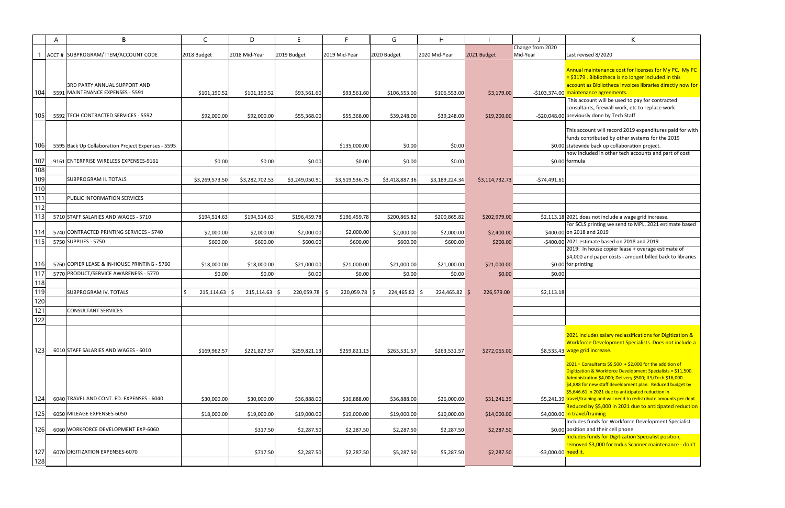|            | A | B                                                                                                               | C                           | D                           | E.                         | F.                         | G                           | H                           |                           |                                   | K                                                                                                                                                                                                                                                                                                                                                                         |
|------------|---|-----------------------------------------------------------------------------------------------------------------|-----------------------------|-----------------------------|----------------------------|----------------------------|-----------------------------|-----------------------------|---------------------------|-----------------------------------|---------------------------------------------------------------------------------------------------------------------------------------------------------------------------------------------------------------------------------------------------------------------------------------------------------------------------------------------------------------------------|
|            |   | ACCT # SUBPROGRAM/ ITEM/ACCOUNT CODE                                                                            | 2018 Budget                 | 2018 Mid-Year               | 2019 Budget                | 2019 Mid-Year              | 2020 Budget                 | 2020 Mid-Year               | 2021 Budget               | Change from 2020<br>Mid-Year      | Last revised 8/2020                                                                                                                                                                                                                                                                                                                                                       |
| 104<br>105 |   | <b>3RD PARTY ANNUAL SUPPORT AND</b><br>5591 MAINTENANCE EXPENSES - 5591<br>5592 TECH CONTRACTED SERVICES - 5592 | \$101,190.52<br>\$92,000.00 | \$101,190.52<br>\$92,000.00 | \$93,561.60<br>\$55,368.00 | \$93,561.60<br>\$55,368.00 | \$106,553.00<br>\$39,248.00 | \$106,553.00<br>\$39,248.00 | \$3,179.00<br>\$19,200.00 |                                   | Annual maintenance cost for licenses for My PC. My PC<br>$=$ \$3179. Bibliotheca is no longer included in this<br>account as Bibliotheca invoices libraries directly now for<br>-\$103,374.00 maintenance agreements.<br>This account will be used to pay for contracted<br>consultants, firewall work, etc to replace work<br>-\$20,048.00 previously done by Tech Staff |
| 106        |   | 5595 Back Up Collaboration Project Expenses - 5595                                                              |                             |                             |                            |                            |                             |                             |                           |                                   | This account will record 2019 expenditures paid for with<br>funds contributed by other systems for the 2019<br>\$0.00 statewide back up collaboration project.                                                                                                                                                                                                            |
|            |   |                                                                                                                 |                             |                             |                            | \$135,000.00               | \$0.00                      | \$0.00                      |                           |                                   | now included in other tech accounts and part of cost                                                                                                                                                                                                                                                                                                                      |
| 107        |   | 9161 ENTERPRISE WIRELESS EXPENSES-9161                                                                          | \$0.00                      | \$0.00                      | \$0.00                     | \$0.00                     | \$0.00                      | \$0.00                      |                           |                                   | \$0.00 formula                                                                                                                                                                                                                                                                                                                                                            |
| 108        |   |                                                                                                                 |                             |                             |                            |                            |                             |                             |                           |                                   |                                                                                                                                                                                                                                                                                                                                                                           |
| 109        |   | <b>SUBPROGRAM II. TOTALS</b>                                                                                    | \$3,269,573.50              | \$3,282,702.53              | \$3,249,050.91             | \$3,519,536.75             | \$3,418,887.36              | \$3,189,224.34              | \$3,114,732.73            | -\$74,491.61                      |                                                                                                                                                                                                                                                                                                                                                                           |
| 110        |   |                                                                                                                 |                             |                             |                            |                            |                             |                             |                           |                                   |                                                                                                                                                                                                                                                                                                                                                                           |
| 111        |   | <b>PUBLIC INFORMATION SERVICES</b>                                                                              |                             |                             |                            |                            |                             |                             |                           |                                   |                                                                                                                                                                                                                                                                                                                                                                           |
| 112        |   |                                                                                                                 |                             |                             |                            |                            |                             |                             |                           |                                   |                                                                                                                                                                                                                                                                                                                                                                           |
| 113        |   | 5710 STAFF SALARIES AND WAGES - 5710                                                                            | \$194,514.63                | \$194,514.63                | \$196,459.78               | \$196,459.78               | \$200,865.82                | \$200,865.82                | \$202,979.00              |                                   | \$2,113.18 2021 does not include a wage grid increase.<br>For SCLS printing we send to MPL, 2021 estimate based                                                                                                                                                                                                                                                           |
| 1141       |   | 5740 CONTRACTED PRINTING SERVICES - 5740                                                                        | \$2,000.00                  | \$2,000.00                  | \$2,000.00                 | \$2,000.00                 | \$2,000.00                  | \$2,000.00                  | \$2,400.00                |                                   | \$400.00 on 2018 and 2019                                                                                                                                                                                                                                                                                                                                                 |
| 115        |   | 5750 SUPPLIES - 5750                                                                                            | \$600.00                    | \$600.00                    | \$600.00                   | \$600.00                   | \$600.00                    | \$600.00                    | \$200.00                  |                                   | -\$400.00 2021 estimate based on 2018 and 2019                                                                                                                                                                                                                                                                                                                            |
|            |   |                                                                                                                 |                             |                             |                            |                            |                             |                             |                           |                                   | 2019: In house copier lease + overage estimate of                                                                                                                                                                                                                                                                                                                         |
| <b>116</b> |   | 5760 COPIER LEASE & IN-HOUSE PRINTING - 5760                                                                    |                             |                             |                            |                            |                             |                             |                           |                                   | \$4,000 and paper costs - amount billed back to libraries                                                                                                                                                                                                                                                                                                                 |
| 117        |   | 5770 PRODUCT/SERVICE AWARENESS - 5770                                                                           | \$18,000.00                 | \$18,000.00                 | \$21,000.00                | \$21,000.00                | \$21,000.00                 | \$21,000.00                 | \$21,000.00               |                                   | \$0.00 for printing                                                                                                                                                                                                                                                                                                                                                       |
| 118        |   |                                                                                                                 | \$0.00                      | \$0.00                      | \$0.00                     | \$0.00                     | \$0.00                      | \$0.00                      | \$0.00                    | \$0.00                            |                                                                                                                                                                                                                                                                                                                                                                           |
| 119        |   | <b>SUBPROGRAM IV. TOTALS</b>                                                                                    | $215,114.63$ \$             | $215, 114.63$ \$            | 220,059.78 \$              |                            | 224,465.82 \$               | 224,465.82 \$               | 226,579.00                |                                   |                                                                                                                                                                                                                                                                                                                                                                           |
| 120        |   |                                                                                                                 |                             |                             |                            | 220,059.78 \$              |                             |                             |                           | \$2,113.18                        |                                                                                                                                                                                                                                                                                                                                                                           |
| 121        |   | <b>CONSULTANT SERVICES</b>                                                                                      |                             |                             |                            |                            |                             |                             |                           |                                   |                                                                                                                                                                                                                                                                                                                                                                           |
| 122        |   |                                                                                                                 |                             |                             |                            |                            |                             |                             |                           |                                   |                                                                                                                                                                                                                                                                                                                                                                           |
| $-1$       |   |                                                                                                                 |                             |                             |                            |                            |                             |                             |                           |                                   |                                                                                                                                                                                                                                                                                                                                                                           |
|            |   |                                                                                                                 |                             |                             |                            |                            |                             |                             |                           |                                   | 2021 includes salary reclassifications for Digitization &                                                                                                                                                                                                                                                                                                                 |
|            |   |                                                                                                                 |                             |                             |                            |                            |                             |                             |                           |                                   | Workforce Development Specialists. Does not include a                                                                                                                                                                                                                                                                                                                     |
| 123        |   | 6010 STAFF SALARIES AND WAGES - 6010                                                                            | \$169,962.57                | \$221.827.57                | \$259,821.13               | \$259,821.13               | \$263,531.57                | \$263,531.57                | \$272,065.00              |                                   | \$8,533.43 wage grid increase.                                                                                                                                                                                                                                                                                                                                            |
|            |   |                                                                                                                 |                             |                             |                            |                            |                             |                             |                           |                                   | $2021$ = Consultants \$9,500 + \$2,000 for the addition of<br>Digitization & Workforce Development Specialists = \$11,500.<br>Administration \$4,000; Delivery \$500; ILS/Tech \$16,000.<br>\$4,888 for new staff development plan. Reduced budget by<br>\$5,646.61 in 2021 due to anticipated reduction in                                                               |
| 124        |   | 6040 TRAVEL AND CONT. ED. EXPENSES - 6040                                                                       | \$30,000.00                 | \$30,000.00                 | \$36,888.00                | \$36,888.00                | \$36,888.00                 | \$26,000.00                 | \$31,241.39               |                                   | \$5,241.39 travel/training and will need to redistribute amounts per dept.<br>Reduced by \$5,000 in 2021 due to anticipated reduction                                                                                                                                                                                                                                     |
| 125        |   | 6050 MILEAGE EXPENSES-6050                                                                                      | \$18,000.00                 | \$19,000.00                 | \$19,000.00                | \$19,000.00                | \$19,000.00                 | \$10,000.00                 | \$14,000.00               |                                   | \$4,000.00 in travel/training<br>Includes funds for Workforce Development Specialist                                                                                                                                                                                                                                                                                      |
| 126        |   | 6060 WORKFORCE DEVELOPMENT EXP-6060                                                                             |                             | \$317.50                    | \$2,287.50                 | \$2,287.50                 | \$2,287.50                  | \$2,287.50                  | \$2,287.50                |                                   | \$0.00 position and their cell phone<br>Includes funds for Digitization Specialist position,                                                                                                                                                                                                                                                                              |
| 127        |   | 6070 DIGITIZATION EXPENSES-6070                                                                                 |                             | \$717.50                    | \$2,287.50                 | \$2,287.50                 | \$5,287.50                  | \$5,287.50                  | \$2,287.50                | -\$3,000.00 <mark>need it.</mark> | removed \$3,000 for Indus Scanner maintenance - don't                                                                                                                                                                                                                                                                                                                     |
| 128        |   |                                                                                                                 |                             |                             |                            |                            |                             |                             |                           |                                   |                                                                                                                                                                                                                                                                                                                                                                           |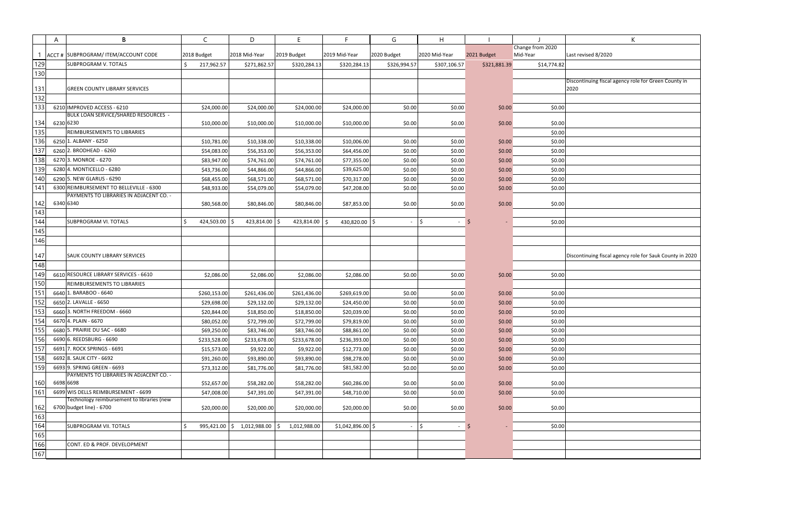|     | A | B                                          | C                   | D                                                       | E.            | F.                 | G                           | H             |              |                  | K                               |
|-----|---|--------------------------------------------|---------------------|---------------------------------------------------------|---------------|--------------------|-----------------------------|---------------|--------------|------------------|---------------------------------|
|     |   |                                            |                     |                                                         |               |                    |                             |               |              | Change from 2020 |                                 |
|     |   | ACCT # SUBPROGRAM/ ITEM/ACCOUNT CODE       | 2018 Budget         | 2018 Mid-Year                                           | 2019 Budget   | 2019 Mid-Year      | 2020 Budget                 | 2020 Mid-Year | 2021 Budget  | Mid-Year         | Last revised 8/2020             |
| 129 |   | <b>SUBPROGRAM V. TOTALS</b>                | 217,962.57          | \$271,862.57                                            | \$320,284.13  | \$320,284.13       | \$326,994.57                | \$307,106.57  | \$321,881.39 | \$14,774.82      |                                 |
| 130 |   |                                            |                     |                                                         |               |                    |                             |               |              |                  |                                 |
|     |   |                                            |                     |                                                         |               |                    |                             |               |              |                  | Discontinuing fiscal agency rol |
| 131 |   | <b>GREEN COUNTY LIBRARY SERVICES</b>       |                     |                                                         |               |                    |                             |               |              |                  | 2020                            |
| 132 |   |                                            |                     |                                                         |               |                    |                             |               |              |                  |                                 |
| 133 |   | 6210 IMPROVED ACCESS - 6210                | \$24,000.00         | \$24,000.00                                             | \$24,000.00   | \$24,000.00        | \$0.00                      | \$0.00        | \$0.00       | \$0.00           |                                 |
|     |   | BULK LOAN SERVICE/SHARED RESOURCES -       |                     |                                                         |               |                    |                             |               |              |                  |                                 |
| 134 |   | 6230 6230                                  | \$10,000.00         | \$10,000.00                                             | \$10,000.00   | \$10,000.00        | \$0.00                      | \$0.00        | \$0.00       | \$0.00           |                                 |
| 135 |   | <b>REIMBURSEMENTS TO LIBRARIES</b>         |                     |                                                         |               |                    |                             |               |              | \$0.00           |                                 |
| 136 |   | 6250 1. ALBANY - 6250                      | \$10,781.00         | \$10,338.00                                             | \$10,338.00   | \$10,006.00        | \$0.00                      | \$0.00        | \$0.00       | \$0.00           |                                 |
| 137 |   | $6260$ 2. BRODHEAD - 6260                  | \$54,083.00         | \$56,353.00                                             | \$56,353.00   | \$64,456.00        | \$0.00                      | \$0.00        | \$0.00       | \$0.00           |                                 |
| 138 |   | 6270 3. MONROE - 6270                      | \$83,947.00         | \$74,761.00                                             | \$74,761.00   | \$77,355.00        | \$0.00                      | \$0.00        | \$0.00       | \$0.00           |                                 |
| 139 |   | 6280 4. MONTICELLO - 6280                  | \$43,736.00         | \$44,866.00                                             | \$44,866.00   | \$39,625.00        | \$0.00                      | \$0.00        | \$0.00       | \$0.00           |                                 |
| 140 |   | 6290 5. NEW GLARUS - 6290                  | \$68,455.00         | \$68,571.00                                             | \$68,571.00   | \$70,317.00        | \$0.00                      | \$0.00        | \$0.00       | \$0.00           |                                 |
| 141 |   | 6300 REIMBURSEMENT TO BELLEVILLE - 6300    | \$48,933.00         | \$54,079.00                                             | \$54,079.00   | \$47,208.00        | \$0.00                      | \$0.00        | \$0.00       | \$0.00           |                                 |
|     |   | PAYMENTS TO LIBRARIES IN ADJACENT CO. -    |                     |                                                         |               |                    |                             |               |              |                  |                                 |
| 142 |   | 6340 6340                                  | \$80,568.00         | \$80,846.00                                             | \$80,846.00   | \$87,853.00        | \$0.00                      | \$0.00        | \$0.00       | \$0.00           |                                 |
| 143 |   |                                            |                     |                                                         |               |                    |                             |               |              |                  |                                 |
| 144 |   | <b>SUBPROGRAM VI. TOTALS</b>               | Ś.<br>424,503.00 \$ | $423,814.00$ \$                                         | 423,814.00 \$ | 430,820.00 \$      | $\mathcal{L}_{\mathcal{A}}$ | \$<br>$\sim$  | 5            | \$0.00           |                                 |
| 145 |   |                                            |                     |                                                         |               |                    |                             |               |              |                  |                                 |
| 146 |   |                                            |                     |                                                         |               |                    |                             |               |              |                  |                                 |
|     |   |                                            |                     |                                                         |               |                    |                             |               |              |                  |                                 |
| 147 |   | <b>SAUK COUNTY LIBRARY SERVICES</b>        |                     |                                                         |               |                    |                             |               |              |                  | Discontinuing fiscal agency rol |
| 148 |   |                                            |                     |                                                         |               |                    |                             |               |              |                  |                                 |
| 149 |   | 6610 RESOURCE LIBRARY SERVICES - 6610      | \$2,086.00          | \$2,086.00                                              | \$2,086.00    | \$2,086.00         | \$0.00                      | \$0.00        | \$0.00       | \$0.00           |                                 |
| 150 |   | <b>REIMBURSEMENTS TO LIBRARIES</b>         |                     |                                                         |               |                    |                             |               |              |                  |                                 |
| 151 |   | 6640 1. BARABOO - 6640                     | \$260,153.00        | \$261,436.00                                            | \$261,436.00  | \$269,619.00       | \$0.00                      | \$0.00        | \$0.00       | \$0.00           |                                 |
| 152 |   | 6650 2. LAVALLE - 6650                     | \$29,698.00         | \$29,132.00                                             | \$29,132.00   | \$24,450.00        | \$0.00                      | \$0.00        | \$0.00       | \$0.00           |                                 |
| 153 |   | 6660 3. NORTH FREEDOM - 6660               |                     |                                                         |               |                    | \$0.00                      |               |              |                  |                                 |
|     |   |                                            | \$20,844.00         | \$18,850.00                                             | \$18,850.00   | \$20,039.00        |                             | \$0.00        | \$0.00       | \$0.00           |                                 |
| 154 |   | 6670 4. PLAIN - 6670                       | \$80,052.00         | \$72,799.00                                             | \$72,799.00   | \$79,819.00        | \$0.00                      | \$0.00        | \$0.00       | \$0.00           |                                 |
| 155 |   | 6680 5. PRAIRIE DU SAC - 6680              | \$69,250.00         | \$83,746.00                                             | \$83,746.00   | \$88,861.00        | \$0.00                      | \$0.00        | \$0.00       | \$0.00           |                                 |
| 156 |   | 6690 6. REEDSBURG - 6690                   | \$233,528.00        | \$233,678.00                                            | \$233,678.00  | \$236,393.00       | \$0.00                      | \$0.00        | \$0.00       | \$0.00           |                                 |
| 157 |   | 6691 7. ROCK SPRINGS - 6691                | \$15,573.00         | \$9,922.00                                              | \$9,922.00    | \$12,773.00        | \$0.00                      | \$0.00        | \$0.00       | \$0.00           |                                 |
| 158 |   | 6692 8. SAUK CITY - 6692                   | \$91,260.00         | \$93,890.00                                             | \$93,890.00   | \$98,278.00        | \$0.00                      | \$0.00        | \$0.00       | \$0.00           |                                 |
| 159 |   | 6693 9. SPRING GREEN - 6693                | \$73,312.00         | \$81,776.00                                             | \$81,776.00   | \$81,582.00        | \$0.00                      | \$0.00        | \$0.00       | \$0.00           |                                 |
|     |   | PAYMENTS TO LIBRARIES IN ADJACENT CO. -    |                     |                                                         |               |                    |                             |               |              |                  |                                 |
| 160 |   | 6698 6698                                  | \$52,657.00         | \$58,282.00                                             | \$58,282.00   | \$60,286.00        | \$0.00                      | \$0.00        | \$0.00       | \$0.00           |                                 |
| 161 |   | 6699 WIS DELLS REIMBURSEMENT - 6699        | \$47,008.00         | \$47,391.00                                             | \$47,391.00   | \$48,710.00        | \$0.00                      | \$0.00        | \$0.00       | \$0.00           |                                 |
|     |   | Technology reimbursement to libraries (new |                     |                                                         |               |                    |                             |               |              |                  |                                 |
| 162 |   | 6700 budget line) - 6700                   | \$20,000.00         | \$20,000.00                                             | \$20,000.00   | \$20,000.00        | \$0.00                      | \$0.00        | \$0.00       | \$0.00           |                                 |
| 163 |   |                                            |                     |                                                         |               |                    |                             |               |              |                  |                                 |
| 164 |   | <b>SUBPROGRAM VII. TOTALS</b>              | Ś.                  | $995,421.00$ $\binom{6}{7}$ 1,012,988.00 $\binom{6}{7}$ | 1,012,988.00  | $$1,042,896.00$ \$ | $\sim$                      | \$<br>$\sim$  | ∣\$          | \$0.00           |                                 |
| 165 |   |                                            |                     |                                                         |               |                    |                             |               |              |                  |                                 |
| 166 |   | CONT. ED & PROF. DEVELOPMENT               |                     |                                                         |               |                    |                             |               |              |                  |                                 |
| 167 |   |                                            |                     |                                                         |               |                    |                             |               |              |                  |                                 |
|     |   |                                            |                     |                                                         |               |                    |                             |               |              |                  |                                 |

| J           | К                                                            |
|-------------|--------------------------------------------------------------|
| from 2020   |                                                              |
| ar          | Last revised 8/2020                                          |
| \$14,774.82 |                                                              |
|             | Discontinuing fiscal agency role for Green County in<br>2020 |
|             |                                                              |
| \$0.00      |                                                              |
| \$0.00      |                                                              |
| \$0.00      |                                                              |
| \$0.00      |                                                              |
| \$0.00      |                                                              |
| \$0.00      |                                                              |
| \$0.00      |                                                              |
| \$0.00      |                                                              |
| \$0.00      |                                                              |
| \$0.00      |                                                              |
|             |                                                              |
| \$0.00      |                                                              |
|             |                                                              |
|             | Discontinuing fiscal agency role for Sauk County in 2020     |
| \$0.00      |                                                              |
| \$0.00      |                                                              |
| \$0.00      |                                                              |
| \$0.00      |                                                              |
| \$0.00      |                                                              |
| \$0.00      |                                                              |
| \$0.00      |                                                              |
| \$0.00      |                                                              |
| \$0.00      |                                                              |
| \$0.00      |                                                              |
| \$0.00      |                                                              |
| \$0.00      |                                                              |
| \$0.00      |                                                              |
| \$0.00      |                                                              |
|             |                                                              |
|             |                                                              |
|             |                                                              |
|             |                                                              |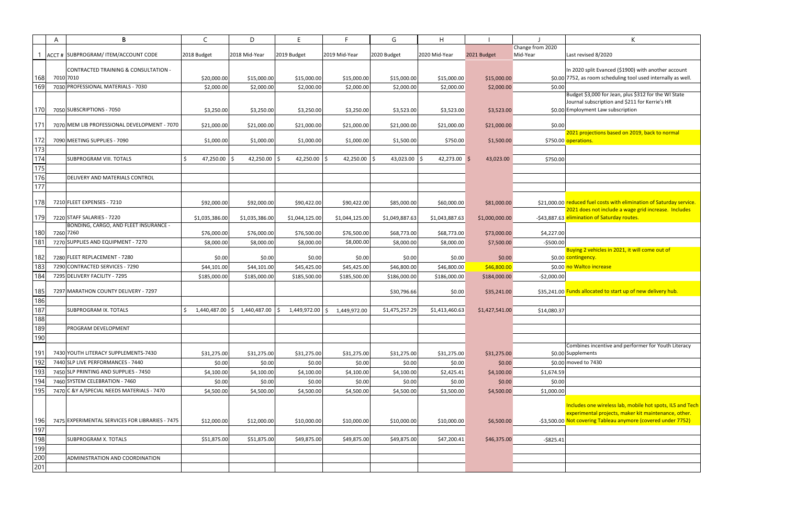|     | A         | B                                               | $\mathsf{C}$    | D                               | E                 | F.                   | G              | H              |                |                  | K                                                     |
|-----|-----------|-------------------------------------------------|-----------------|---------------------------------|-------------------|----------------------|----------------|----------------|----------------|------------------|-------------------------------------------------------|
|     |           |                                                 |                 |                                 |                   |                      |                |                |                | Change from 2020 |                                                       |
|     |           | ACCT # SUBPROGRAM/ ITEM/ACCOUNT CODE            | 2018 Budget     | 2018 Mid-Year                   | 2019 Budget       | 2019 Mid-Year        | 2020 Budget    | 2020 Mid-Year  | 2021 Budget    | Mid-Year         | Last revised 8/2020                                   |
|     |           | CONTRACTED TRAINING & CONSULTATION -            |                 |                                 |                   |                      |                |                |                |                  | In 2020 split Evanced (\$1900)                        |
| 168 |           | 7010 7010                                       | \$20,000.00     | \$15,000.00                     | \$15,000.00       | \$15,000.00          | \$15,000.00    | \$15,000.00    | \$15,000.00    |                  | \$0.00 7752, as room scheduling tool                  |
| 169 |           | 7030 PROFESSIONAL MATERIALS - 7030              | \$2,000.00      | \$2,000.00                      | \$2,000.00        | \$2,000.00           | \$2,000.00     | \$2,000.00     | \$2,000.00     | \$0.00           |                                                       |
|     |           |                                                 |                 |                                 |                   |                      |                |                |                |                  | Budget \$3,000 for Jean, plus \$                      |
|     |           |                                                 |                 |                                 |                   |                      |                |                |                |                  | Journal subscription and \$211                        |
| 170 |           | 7050 SUBSCRIPTIONS - 7050                       | \$3,250.00      | \$3,250.00                      | \$3,250.00        | \$3,250.00           | \$3,523.00     | \$3,523.00     | \$3,523.00     |                  | \$0.00 Employment Law subscription                    |
|     |           |                                                 |                 |                                 |                   |                      |                |                |                |                  |                                                       |
| 171 |           | 7070 MEM LIB PROFESSIONAL DEVELOPMENT - 7070    | \$21,000.00     | \$21,000.00                     | \$21,000.00       | \$21,000.00          | \$21,000.00    | \$21,000.00    | \$21,000.00    | \$0.00           |                                                       |
| 172 |           | 7090 MEETING SUPPLIES - 7090                    | \$1,000.00      | \$1,000.00                      | \$1,000.00        | \$1,000.00           | \$1,500.00     | \$750.00       | \$1,500.00     |                  | 2021 projections based on 201<br>\$750.00 operations. |
| 173 |           |                                                 |                 |                                 |                   |                      |                |                |                |                  |                                                       |
| 174 |           | <b>SUBPROGRAM VIII. TOTALS</b>                  | Ś.<br>47,250.00 | 42,250.00 $\vert$ \$<br>-S      | 42,250.00 \$      | 42,250.00 $\vert$ \$ | $43,023.00$ \$ | 42,273.00 \$   |                |                  |                                                       |
|     |           |                                                 |                 |                                 |                   |                      |                |                | 43,023.00      | \$750.00         |                                                       |
| 175 |           |                                                 |                 |                                 |                   |                      |                |                |                |                  |                                                       |
| 176 |           | DELIVERY AND MATERIALS CONTROL                  |                 |                                 |                   |                      |                |                |                |                  |                                                       |
| 177 |           |                                                 |                 |                                 |                   |                      |                |                |                |                  |                                                       |
| 178 |           | 7210 FLEET EXPENSES - 7210                      | \$92,000.00     | \$92,000.00                     | \$90,422.00       | \$90,422.00          | \$85,000.00    | \$60,000.00    | \$81,000.00    |                  | \$21,000.00 reduced fuel costs with elimin            |
|     |           |                                                 |                 |                                 |                   |                      |                |                |                |                  | 2021 does not include a wage                          |
| 179 |           | 7220 STAFF SALARIES - 7220                      | \$1,035,386.00  | \$1,035,386.00                  | \$1,044,125.00    | \$1,044,125.00       | \$1,049,887.63 | \$1,043,887.63 | \$1,000,000.00 |                  | -\$43,887.63 elimination of Saturday routes           |
|     |           | BONDING, CARGO, AND FLEET INSURANCE -           |                 |                                 |                   |                      |                |                |                |                  |                                                       |
| 180 | 7260 7260 |                                                 | \$76,000.00     | \$76,000.00                     | \$76,500.00       | \$76,500.00          | \$68,773.00    | \$68,773.00    | \$73,000.00    | \$4,227.00       |                                                       |
| 181 |           | 7270 SUPPLIES AND EQUIPMENT - 7270              | \$8,000.00      | \$8,000.00                      | \$8,000.00        | \$8,000.00           | \$8,000.00     | \$8,000.00     | \$7,500.00     | -\$500.00        |                                                       |
|     |           |                                                 |                 |                                 |                   |                      |                |                |                |                  | Buying 2 vehicles in 2021, it w                       |
| 182 |           | 7280 FLEET REPLACEMENT - 7280                   | \$0.00          | \$0.00                          | \$0.00            | \$0.00               | \$0.00         | \$0.00         | \$0.00         |                  | \$0.00 contingency.                                   |
| 183 |           | 7290 CONTRACTED SERVICES - 7290                 | \$44,101.00     | \$44,101.00                     | \$45,425.00       | \$45,425.00          | \$46,800.00    | \$46,800.00    | \$46,800.00    |                  | \$0.00 no Waltco increase                             |
| 184 |           | 7295 DELIVERY FACILITY - 7295                   | \$185,000.00    | \$185,000.00                    | \$185,500.00      | \$185,500.00         | \$186,000.00   | \$186,000.00   | \$184,000.00   | $-52,000.00$     |                                                       |
| 185 |           | 7297 MARATHON COUNTY DELIVERY - 7297            |                 |                                 |                   |                      | \$30,796.66    | \$0.00         | \$35,241.00    |                  | \$35,241.00 Funds allocated to start up of            |
| 186 |           |                                                 |                 |                                 |                   |                      |                |                |                |                  |                                                       |
| 187 |           | <b>SUBPROGRAM IX. TOTALS</b>                    | 1,440,487.00    | $\vert$ \$ 1,440,487.00 $\vert$ | Ŝ<br>1,449,972.00 |                      |                |                |                |                  |                                                       |
| 188 |           |                                                 |                 |                                 |                   | Ś.<br>1,449,972.00   | \$1,475,257.29 | \$1,413,460.63 | \$1,427,541.00 | \$14,080.37      |                                                       |
|     |           |                                                 |                 |                                 |                   |                      |                |                |                |                  |                                                       |
| 189 |           | <b>PROGRAM DEVELOPMENT</b>                      |                 |                                 |                   |                      |                |                |                |                  |                                                       |
| 190 |           |                                                 |                 |                                 |                   |                      |                |                |                |                  | Combines incentive and perfor                         |
| 191 |           | 7430 YOUTH LITERACY SUPPLEMENTS-7430            | \$31,275.00     | \$31,275.00                     | \$31,275.00       | \$31,275.00          | \$31,275.00    | \$31,275.00    | \$31,275.00    |                  | \$0.00 Supplements                                    |
| 192 |           | 7440 SLP LIVE PERFORMANCES - 7440               | \$0.00          | \$0.00                          | \$0.00            | \$0.00               | \$0.00         | \$0.00         | \$0.00         |                  | \$0.00 moved to 7430                                  |
| 193 |           | 7450 SLP PRINTING AND SUPPLIES - 7450           |                 |                                 |                   |                      |                |                | \$4,100.00     | \$1,674.59       |                                                       |
| 194 |           | 7460 SYSTEM CELEBRATION - 7460                  | \$4,100.00      | \$4,100.00                      | \$4,100.00        | \$4,100.00           | \$4,100.00     | \$2,425.41     |                |                  |                                                       |
| 195 |           |                                                 | \$0.00          | \$0.00                          | \$0.00            | \$0.00               | \$0.00         | \$0.00         | \$0.00         | \$0.00           |                                                       |
|     |           | 7470 C & Y A/SPECIAL NEEDS MATERIALS - 7470     | \$4,500.00      | \$4,500.00                      | \$4,500.00        | \$4,500.00           | \$4,500.00     | \$3,500.00     | \$4,500.00     | \$1,000.00       |                                                       |
|     |           |                                                 |                 |                                 |                   |                      |                |                |                |                  | Includes one wireless lab, mob                        |
|     |           |                                                 |                 |                                 |                   |                      |                |                |                |                  | experimental projects, maker                          |
| 196 |           | 7475 EXPERIMENTAL SERVICES FOR LIBRARIES - 7475 | \$12,000.00     | \$12,000.00                     | \$10,000.00       | \$10,000.00          | \$10,000.00    | \$10,000.00    | \$6,500.00     |                  | -\$3,500.00 Not covering Tableau anymore              |
| 197 |           |                                                 |                 |                                 |                   |                      |                |                |                |                  |                                                       |
| 198 |           | <b>SUBPROGRAM X. TOTALS</b>                     | \$51,875.00     | \$51,875.00                     | \$49,875.00       | \$49,875.00          | \$49,875.00    | \$47,200.41    | \$46,375.00    | $-$ \$825.41     |                                                       |
| 199 |           |                                                 |                 |                                 |                   |                      |                |                |                |                  |                                                       |
| 200 |           | ADMINISTRATION AND COORDINATION                 |                 |                                 |                   |                      |                |                |                |                  |                                                       |
| 201 |           |                                                 |                 |                                 |                   |                      |                |                |                |                  |                                                       |
|     |           |                                                 |                 |                                 |                   |                      |                |                |                |                  |                                                       |

|   | К                                                                                                                  |
|---|--------------------------------------------------------------------------------------------------------------------|
|   |                                                                                                                    |
|   | Last revised 8/2020                                                                                                |
|   |                                                                                                                    |
|   | In 2020 split Evanced (\$1900) with another account                                                                |
| 0 | 7752, as room scheduling tool used internally as well.                                                             |
| 0 |                                                                                                                    |
|   | Budget \$3,000 for Jean, plus \$312 for the WI State                                                               |
|   | Journal subscription and \$211 for Kerrie's HR<br>Employment Law subscription                                      |
| 0 |                                                                                                                    |
| 0 |                                                                                                                    |
|   | 2021 projections based on 2019, back to normal                                                                     |
|   | 0 operations.                                                                                                      |
|   |                                                                                                                    |
| 0 |                                                                                                                    |
|   |                                                                                                                    |
|   |                                                                                                                    |
|   |                                                                                                                    |
|   |                                                                                                                    |
|   |                                                                                                                    |
|   | 0 reduced fuel costs with elimination of Saturday service.<br>2021 does not include a wage grid increase. Includes |
|   | 3 elimination of Saturday routes.                                                                                  |
|   |                                                                                                                    |
| 0 |                                                                                                                    |
| 0 |                                                                                                                    |
|   | Buying 2 vehicles in 2021, it will come out of                                                                     |
|   | 0 <mark>contingency.</mark>                                                                                        |
| 0 | no Waltco increase                                                                                                 |
| 0 |                                                                                                                    |
|   |                                                                                                                    |
|   | 0 Funds allocated to start up of new delivery hub.                                                                 |
|   |                                                                                                                    |
| 7 |                                                                                                                    |
|   |                                                                                                                    |
|   |                                                                                                                    |
|   |                                                                                                                    |
|   |                                                                                                                    |
|   | Combines incentive and performer for Youth Literacy                                                                |
| 0 | Supplements                                                                                                        |
| 0 | moved to 7430                                                                                                      |
| 9 |                                                                                                                    |
| 0 |                                                                                                                    |
| 0 |                                                                                                                    |
|   |                                                                                                                    |
|   | Includes one wireless lab, mobile hot spots, ILS and Tech                                                          |
|   | experimental projects, maker kit maintenance, other.                                                               |
|   | 0 Not covering Tableau anymore (covered under 7752)                                                                |
|   |                                                                                                                    |
| 1 |                                                                                                                    |
|   |                                                                                                                    |
|   |                                                                                                                    |
|   |                                                                                                                    |
|   |                                                                                                                    |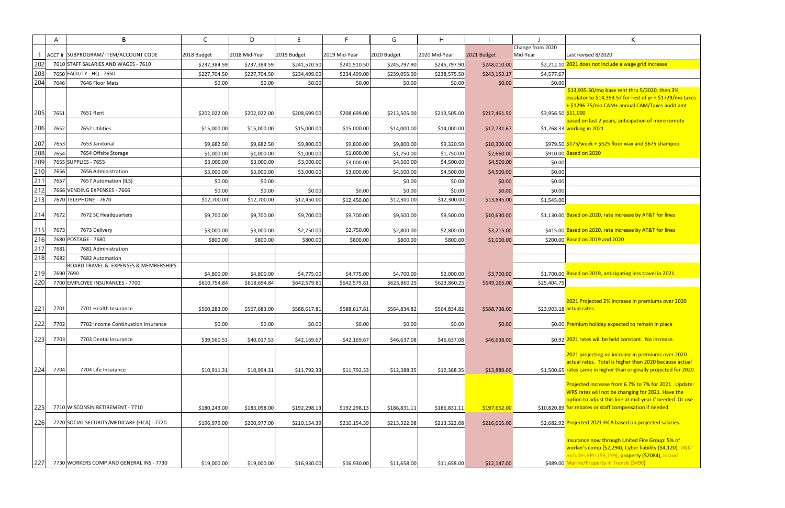|     | A    | B                                                      | C                     | D             | E.           | F.            | G            | H             |              |                                  | K                                                                                               |
|-----|------|--------------------------------------------------------|-----------------------|---------------|--------------|---------------|--------------|---------------|--------------|----------------------------------|-------------------------------------------------------------------------------------------------|
|     |      | ACCT # SUBPROGRAM/ ITEM/ACCOUNT CODE                   | 2018 Budget           | 2018 Mid-Year | 2019 Budget  | 2019 Mid-Year | 2020 Budget  | 2020 Mid-Year | 2021 Budget  | Change from 2020<br>Mid-Year     | Last revised 8/2020                                                                             |
| 202 |      | 7610 STAFF SALARIES AND WAGES - 7610                   |                       |               |              |               |              |               |              |                                  | \$2,212.10 2021 does not include a wage grid increase                                           |
| 203 |      | 7650 FACILITY - HQ - 7650                              | \$237,384.59          | \$237,384.59  | \$241,510.50 | \$241,510.50  | \$245,797.90 | \$245,797.90  | \$248,010.00 |                                  |                                                                                                 |
| 204 |      | 7646 Floor Mats                                        | \$227,704.50          | \$227,704.50  | \$234,499.00 | \$234,499.00  | \$239,055.00 | \$238,575.50  | \$243,153.17 | \$4,577.67                       |                                                                                                 |
|     | 7646 |                                                        | \$0.00                | \$0.00        | \$0.00       | \$0.00        | \$0.00       | \$0.00        | \$0.00       | \$0.00                           | \$13,935.50/mo base rent thru 5/2020, then 3                                                    |
|     |      |                                                        |                       |               |              |               |              |               |              |                                  | escalator to \$14,353.57 for rest of yr + \$1729/                                               |
|     |      |                                                        |                       |               |              |               |              |               |              |                                  | + \$1296.75/mo CAM+ annual CAM/Taxes audi                                                       |
| 205 | 7651 | 7651 Rent                                              | \$202,022.00          | \$202,022.00  | \$208,699.00 | \$208,699.00  | \$213,505.00 | \$213,505.00  | \$217,461.50 | \$3,956.50 <mark>\$11,000</mark> |                                                                                                 |
|     |      |                                                        |                       |               |              |               |              |               |              |                                  | based on last 2 years, anticipation of more ren                                                 |
| 206 | 7652 | 7652 Utilities                                         | \$15,000.00           | \$15,000.00   | \$15,000.00  | \$15,000.00   | \$14,000.00  | \$14,000.00   | \$12,731.67  |                                  | -\$1,268.33 working in 2021                                                                     |
| 207 | 7653 | 7653 Janitorial                                        | \$9,682.50            | \$9,682.50    | \$9,800.00   | \$9,800.00    | \$9,800.00   | \$9,320.50    | \$10,300.00  |                                  | \$979.50 \$175/week + \$525 floor wax and \$675 shampo                                          |
| 208 | 7654 | 7654 Offsite Storage                                   | \$1,000.00            | \$1,000.00    | \$1,000.00   | \$1,000.00    | \$1,750.00   | \$1,750.00    | \$2,660.00   |                                  | \$910.00 Based on 2020                                                                          |
| 209 |      | 7655 SUPPLIES - 7655                                   | \$3,000.00            | \$3,000.00    | \$3,000.00   | \$3,000.00    | \$4,500.00   | \$4,500.00    | \$4,500.00   | \$0.00                           |                                                                                                 |
| 210 | 7656 | 7656 Administration                                    | \$3,000.00            | \$3,000.00    | \$3,000.00   | \$3,000.00    | \$4,500.00   | \$4,500.00    | \$4,500.00   | \$0.00                           |                                                                                                 |
| 211 | 7657 | 7657 Automation (ILS)                                  | \$0.00                | \$0.00        |              |               | \$0.00       | \$0.00        | \$0.00       | \$0.00                           |                                                                                                 |
| 212 |      | 7666 VENDING EXPENSES - 7666                           |                       |               |              |               |              |               | \$0.00       |                                  |                                                                                                 |
| 213 |      | 7670 TELEPHONE - 7670                                  | \$0.00<br>\$12,700.00 | \$0.00        | \$0.00       | \$0.00        | \$0.00       | \$0.00        |              | \$0.00                           |                                                                                                 |
|     |      |                                                        |                       | \$12,700.00   | \$12,450.00  | \$12,450.00   | \$12,300.00  | \$12,300.00   | \$13,845.00  | \$1,545.00                       |                                                                                                 |
| 214 | 7672 | 7672 SC Headquarters                                   | \$9,700.00            | \$9,700.00    | \$9,700.00   | \$9,700.00    | \$9,500.00   | \$9,500.00    | \$10,630.00  |                                  | \$1,130.00 Based on 2020, rate increase by AT&T for lines                                       |
|     |      |                                                        |                       |               |              |               |              |               |              |                                  |                                                                                                 |
| 215 | 7673 | 7673 Delivery                                          | \$3,000.00            | \$3,000.00    | \$2,750.00   | \$2,750.00    | \$2,800.00   | \$2,800.00    | \$3,215.00   |                                  | \$415.00 Based on 2020, rate increase by AT&T for lines                                         |
| 216 |      | 7680 POSTAGE - 7680                                    | \$800.00              | \$800.00      | \$800.00     | \$800.00      | \$800.00     | \$800.00      | \$1,000.00   |                                  | \$200.00 Based on 2019 and 2020                                                                 |
| 217 | 7681 | 7681 Administration                                    |                       |               |              |               |              |               |              |                                  |                                                                                                 |
| 218 | 7682 | 7682 Automation                                        |                       |               |              |               |              |               |              |                                  |                                                                                                 |
|     |      | <b>BOARD TRAVEL &amp; EXPENSES &amp; MEMBERSHIPS -</b> |                       |               |              |               |              |               |              |                                  |                                                                                                 |
| 219 |      | 7690 7690                                              | \$4,800.00            | \$4,800.00    | \$4,775.00   | \$4,775.00    | \$4,700.00   | \$2,000.00    | \$3,700.00   |                                  | \$1,700.00 Based on 2019, anticipating less travel in 2021                                      |
| 220 |      | 7700 EMPLOYEE INSURANCES - 7700                        | \$610,754.84          | \$618,694.84  | \$642,579.81 | \$642,579.81  | \$623,860.25 | \$623,860.25  | \$649,265.00 | \$25,404.75                      |                                                                                                 |
|     |      |                                                        |                       |               |              |               |              |               |              |                                  |                                                                                                 |
|     |      |                                                        |                       |               |              |               |              |               |              |                                  | 2021 Projected 2% increase in premiums over                                                     |
| 221 | 7701 | 7701 Health Insurance                                  | \$560,283.00          | \$567,683.00  | \$588,617.81 | \$588,617.81  | \$564,834.82 | \$564,834.82  | \$588,738.00 |                                  | \$23,903.18 actual rates.                                                                       |
| 222 | 7702 | 7702 Income Continuation Insurance                     | \$0.00                | \$0.00        | \$0.00       | \$0.00        | \$0.00       | \$0.00        | \$0.00       |                                  | \$0.00 Premium holiday expected to remain in place                                              |
|     |      |                                                        |                       |               |              |               |              |               |              |                                  |                                                                                                 |
| 223 | 7703 | 7703 Dental Insurance                                  | \$39,560.53           | \$40,017.53   | \$42,169.67  | \$42,169.67   | \$46,637.08  | \$46,637.08   | \$46,638.00  |                                  | \$0.92 2021 rates will be held constant. No increase.                                           |
|     |      |                                                        |                       |               |              |               |              |               |              |                                  |                                                                                                 |
|     |      |                                                        |                       |               |              |               |              |               |              |                                  | 2021 projecting no increase in premiums over<br>actual rates. Total is higher than 2020 because |
| 224 | 7704 | 7704 Life Insurance                                    | \$10,911.31           | \$10,994.31   | \$11,792.33  | \$11,792.33   | \$12,388.35  | \$12,388.35   | \$13,889.00  |                                  | \$1,500.65 rates came in higher than originally projected                                       |
|     |      |                                                        |                       |               |              |               |              |               |              |                                  |                                                                                                 |
|     |      |                                                        |                       |               |              |               |              |               |              |                                  | Projected increase from 6.7% to 7% for 2021.                                                    |
|     |      |                                                        |                       |               |              |               |              |               |              |                                  | WRS rates will not be changing for 2021. Have                                                   |
|     |      |                                                        |                       |               |              |               |              |               |              |                                  | option to adjust this line at mid-year if needed                                                |
| 225 |      | 7710 WISCONSIN RETIREMENT - 7710                       | \$180,243.00          | \$183,098.00  | \$192,298.13 | \$192,298.13  | \$186,831.11 | \$186,831.11  | \$197,652.00 |                                  | \$10,820.89 for rebates or staff compensation if needed.                                        |
| 226 |      | 7720 SOCIAL SECURITY/MEDICARE (FICA) - 7720            | \$196,979.00          | \$200,977.00  | \$210,154.39 | \$210,154.39  | \$213,322.08 | \$213,322.08  | \$216,005.00 |                                  | \$2,682.92 Projected 2021 FICA based on projected salari                                        |
|     |      |                                                        |                       |               |              |               |              |               |              |                                  |                                                                                                 |
|     |      |                                                        |                       |               |              |               |              |               |              |                                  | Insurance now through United Fire Group: 5%                                                     |
|     |      |                                                        |                       |               |              |               |              |               |              |                                  | worker's comp (\$2,294), Cyber liability (\$4,120                                               |
|     |      |                                                        |                       |               |              |               |              |               |              |                                  | includes EPLI (\$3,159), property (\$2084), Inlan                                               |
| 227 |      | 7730 WORKERS COMP AND GENERAL INS - 7730               | \$19,000.00           | \$19,000.00   | \$16,930.00  | \$16,930.00   | \$11,658.00  | \$11,658.00   | \$12,147.00  |                                  | \$489.00 Marine/Property in Transit (\$490)                                                     |

|   | K                                                                         |
|---|---------------------------------------------------------------------------|
|   | Last revised 8/2020                                                       |
|   | 0 2021 does not include a wage grid increase                              |
| 7 |                                                                           |
| 0 |                                                                           |
|   | \$13,935.50/mo base rent thru 5/2020, then 3%                             |
|   | escalator to \$14,353.57 for rest of $yr + $1729/mol$ taxes               |
|   | + \$1296.75/mo CAM+ annual CAM/Taxes audit amt<br>0 <mark>\$11,000</mark> |
|   | based on last 2 years, anticipation of more remote                        |
|   | 3 working in 2021                                                         |
|   | 0 <mark>\$175/week + \$525 floor wax and \$675 shampoo</mark>             |
|   | 0 Based on 2020                                                           |
| 0 |                                                                           |
| 0 |                                                                           |
| 0 |                                                                           |
| 0 |                                                                           |
| 0 |                                                                           |
|   |                                                                           |
|   | 0 Based on 2020, rate increase by AT&T for lines                          |
|   | 0 Based on 2020, rate increase by AT&T for lines                          |
|   | 0 Based on 2019 and 2020                                                  |
|   |                                                                           |
|   |                                                                           |
|   | 0 Based on 2019, anticipating less travel in 2021                         |
| 5 |                                                                           |
|   |                                                                           |
|   | 2021 Projected 2% increase in premiums over 2020                          |
| 8 | actual rates.                                                             |
|   | 0 Premium holiday expected to remain in place                             |
|   |                                                                           |
|   | 2 2021 rates will be held constant. No increase.                          |
|   | 2021 projecting no increase in premiums over 2020                         |
|   | actual rates. Total is higher than 2020 because actual                    |
|   | 5 rates came in higher than originally projected for 2020.                |
|   | Projected increase from 6.7% to 7% for 2021. Update:                      |
|   | WRS rates will not be changing for 2021. Have the                         |
|   | option to adjust this line at mid-year if needed. Or use                  |
|   | 9 for rebates or staff compensation if needed.                            |
|   | 2 Projected 2021 FICA based on projected salaries.                        |
|   | Insurance now through United Fire Group: 5% of                            |
|   | worker's comp (\$2,294), Cyber liability (\$4,120), D&O                   |
|   | includes EPLI (\$3,159), property (\$2084), Inland                        |
|   | 0 Marine/Property in Transit (\$490)                                      |
|   |                                                                           |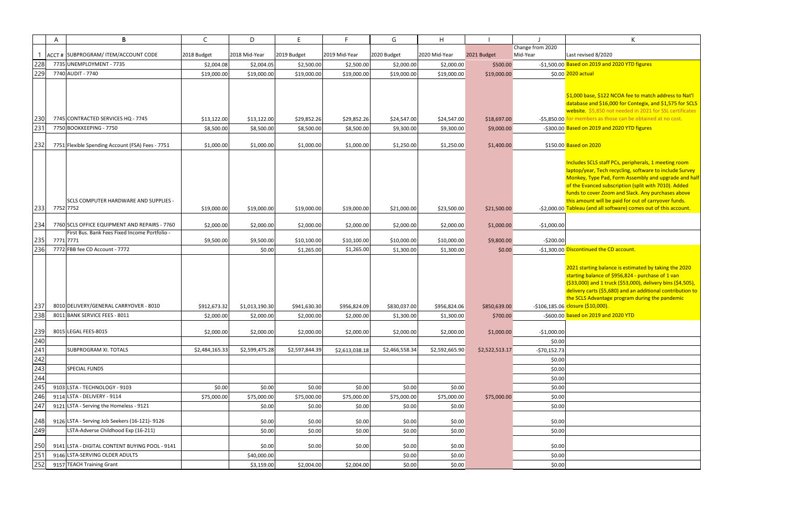000 base, \$122 NCOA fee to match address to Nat'l database and \$16,000 for Contegix, and \$1,575 for SCLS bsite. \$5,850 not needed in 2021 for SSL certificates for members as those can be obtained at no cost.

ed on 2019 and 2020 YTD figures

udes SCLS staff PCs, peripherals, 1 meeting room laptop/year, Tech recycling, software to include Survey nkey, Type Pad, Form Assembly and upgrade and half he Evanced subscription (split with 7010). Added funds to cover Zoom and Slack. Any purchases above  $\frac{1}{2}$  amount will be paid for out of carryover funds. Tableau (and all software) comes out of this account.

## $\mathop{\mathsf{continued}}$  the CD account.

2021 starting balance is estimated by taking the 2020 ting balance of \$956,824 - purchase of 1 van 3,000) and 1 truck (\$53,000), delivery bins (\$4,505), delivery carts (\$5,680) and an additional contribution to SCLS Advantage program during the pandemic <mark>sure (\$10,000).</mark>

|     | A | B                                                | C              | D              | E              | F.             | G              | H              |                |                              | K                                                                  |
|-----|---|--------------------------------------------------|----------------|----------------|----------------|----------------|----------------|----------------|----------------|------------------------------|--------------------------------------------------------------------|
|     |   | ACCT # SUBPROGRAM/ ITEM/ACCOUNT CODE             | 2018 Budget    | 2018 Mid-Year  | 2019 Budget    | 2019 Mid-Year  | 2020 Budget    | 2020 Mid-Year  | 2021 Budget    | Change from 2020<br>Mid-Year | Last revised 8/2020                                                |
| 228 |   | 7735 UNEMPLOYMENT - 7735                         | \$2,004.08     | \$2,004.05     | \$2,500.00     | \$2,500.00     | \$2,000.00     | \$2,000.00     | \$500.00       |                              | -\$1,500.00 Based on 2019 and 2020 YTD f                           |
| 229 |   | 7740 AUDIT - 7740                                | \$19,000.00    | \$19,000.00    | \$19,000.00    | \$19,000.00    | \$19,000.00    | \$19,000.00    | \$19,000.00    |                              | \$0.00 2020 actual                                                 |
|     |   |                                                  |                |                |                |                |                |                |                |                              |                                                                    |
|     |   |                                                  |                |                |                |                |                |                |                |                              |                                                                    |
|     |   |                                                  |                |                |                |                |                |                |                |                              | \$1,000 base, \$122 NCOA fee to<br>database and \$16,000 for Con   |
|     |   |                                                  |                |                |                |                |                |                |                |                              | website \$5,850 not needed in                                      |
| 230 |   | 7745 CONTRACTED SERVICES HQ - 7745               | \$13,122.00    | \$13,122.00    | \$29,852.26    | \$29,852.26    | \$24,547.00    | \$24,547.00    | \$18,697.00    |                              | -\$5,850.00 for members as those can be o                          |
| 231 |   | 7750 BOOKKEEPING - 7750                          | \$8,500.00     | \$8,500.00     | \$8,500.00     | \$8,500.00     | \$9,300.00     | \$9,300.00     | \$9,000.00     |                              | -\$300.00 Based on 2019 and 2020 YTD f                             |
|     |   |                                                  |                |                |                |                |                |                |                |                              |                                                                    |
| 232 |   | 7751 Flexible Spending Account (FSA) Fees - 7751 | \$1,000.00     | \$1,000.00     | \$1,000.00     | \$1,000.00     | \$1,250.00     | \$1,250.00     | \$1,400.00     |                              | \$150.00 Based on 2020                                             |
|     |   |                                                  |                |                |                |                |                |                |                |                              |                                                                    |
|     |   |                                                  |                |                |                |                |                |                |                |                              | Includes SCLS staff PCs, periph                                    |
|     |   |                                                  |                |                |                |                |                |                |                |                              | laptop/year, Tech recycling, so<br>Monkey, Type Pad, Form Asse     |
|     |   |                                                  |                |                |                |                |                |                |                |                              | of the Evanced subscription (s                                     |
|     |   |                                                  |                |                |                |                |                |                |                |                              | funds to cover Zoom and Slack                                      |
|     |   | <b>SCLS COMPUTER HARDWARE AND SUPPLIES -</b>     |                |                |                |                |                |                |                |                              | this amount will be paid for ou                                    |
| 233 |   | 7752 7752                                        | \$19,000.00    | \$19,000.00    | \$19,000.00    | \$19,000.00    | \$21,000.00    | \$23,500.00    | \$21,500.00    |                              | -\$2,000.00 Tableau (and all software) con                         |
| 234 |   | 7760 SCLS OFFICE EQUIPMENT AND REPAIRS - 7760    |                |                |                |                |                |                |                |                              |                                                                    |
|     |   | First Bus. Bank Fees Fixed Income Portfolio -    | \$2,000.00     | \$2,000.00     | \$2,000.00     | \$2,000.00     | \$2,000.00     | \$2,000.00     | \$1,000.00     | $-$1,000.00$                 |                                                                    |
| 235 |   | 7771 7771                                        | \$9,500.00     | \$9,500.00     | \$10,100.00    | \$10,100.00    | \$10,000.00    | \$10,000.00    | \$9,800.00     | $-5200.00$                   |                                                                    |
| 236 |   | 7772 FBB fee CD Account - 7772                   |                | \$0.00         | \$1,265.00     | \$1,265.00     | \$1,300.00     | \$1,300.00     | \$0.00         |                              | -\$1,300.00 Discontinued the CD account.                           |
|     |   |                                                  |                |                |                |                |                |                |                |                              |                                                                    |
|     |   |                                                  |                |                |                |                |                |                |                |                              | 2021 starting balance is estima                                    |
|     |   |                                                  |                |                |                |                |                |                |                |                              | starting balance of \$956,824 -                                    |
|     |   |                                                  |                |                |                |                |                |                |                |                              | (\$33,000) and 1 truck (\$53,00<br>delivery carts (\$5,680) and an |
|     |   |                                                  |                |                |                |                |                |                |                |                              | the SCLS Advantage program o                                       |
| 237 |   | 8010 DELIVERY/GENERAL CARRYOVER - 8010           | \$912,673.32   | \$1,013,190.30 | \$941,630.30   | \$956,824.09   | \$830,037.00   | \$956,824.06   | \$850,639.00   |                              | -\$106,185.06 closure (\$10,000).                                  |
| 238 |   | 8011 BANK SERVICE FEES - 8011                    | \$2,000.00     | \$2,000.00     | \$2,000.00     | \$2,000.00     | \$1,300.00     | \$1,300.00     | \$700.00       |                              | -\$600.00 based on 2019 and 2020 YTD                               |
|     |   |                                                  |                |                |                |                |                |                |                |                              |                                                                    |
| 239 |   | 8015 LEGAL FEES-8015                             | \$2,000.00     | \$2,000.00     | \$2,000.00     | \$2,000.00     | \$2,000.00     | \$2,000.00     | \$1,000.00     | $-$1,000.00$                 |                                                                    |
| 240 |   |                                                  |                |                |                |                |                |                |                | \$0.00                       |                                                                    |
| 241 |   | <b>SUBPROGRAM XI. TOTALS</b>                     | \$2,484,165.33 | \$2,599,475.28 | \$2,597,844.39 | \$2,613,038.18 | \$2,466,558.34 | \$2,592,665.90 | \$2,522,513.17 | $-$70,152.73$                |                                                                    |
| 242 |   |                                                  |                |                |                |                |                |                |                | \$0.00                       |                                                                    |
| 243 |   | <b>SPECIAL FUNDS</b>                             |                |                |                |                |                |                |                | \$0.00                       |                                                                    |
| 244 |   |                                                  |                |                |                |                |                |                |                | \$0.00                       |                                                                    |
| 245 |   | 9103 LSTA - TECHNOLOGY - 9103                    | \$0.00         | \$0.00         | \$0.00         | \$0.00         | \$0.00         | \$0.00         |                | \$0.00                       |                                                                    |
| 246 |   | 9114 LSTA - DELIVERY - 9114                      | \$75,000.00    | \$75,000.00    | \$75,000.00    | \$75,000.00    | \$75,000.00    | \$75,000.00    | \$75,000.00    | \$0.00                       |                                                                    |
| 247 |   | 9121 LSTA - Serving the Homeless - 9121          |                | \$0.00         | \$0.00         | \$0.00         | \$0.00         | \$0.00         |                | \$0.00                       |                                                                    |
| 248 |   | 9126 LSTA - Serving Job Seekers (16-121)- 9126   |                | \$0.00         | \$0.00         | \$0.00         | \$0.00         | \$0.00         |                | \$0.00                       |                                                                    |
| 249 |   | LSTA-Adverse Childhood Exp (16-211)              |                | \$0.00         | \$0.00         | \$0.00         | \$0.00         | \$0.00         |                | \$0.00                       |                                                                    |
|     |   |                                                  |                |                |                |                |                |                |                |                              |                                                                    |
| 250 |   | 9141 LSTA - DIGITAL CONTENT BUYING POOL - 9141   |                | \$0.00         | \$0.00         | \$0.00         | \$0.00         | \$0.00         |                | \$0.00                       |                                                                    |
| 251 |   | 9146 LSTA-SERVING OLDER ADULTS                   |                | \$40,000.00    |                |                | \$0.00         | \$0.00         |                | \$0.00                       |                                                                    |
| 252 |   | 9157 TEACH Training Grant                        |                | \$3,159.00     | \$2,004.00     | \$2,004.00     | \$0.00         | \$0.00         |                | \$0.00                       |                                                                    |

0 <mark>Based on 2019 and 2020 YTD figures</mark> 20 actual